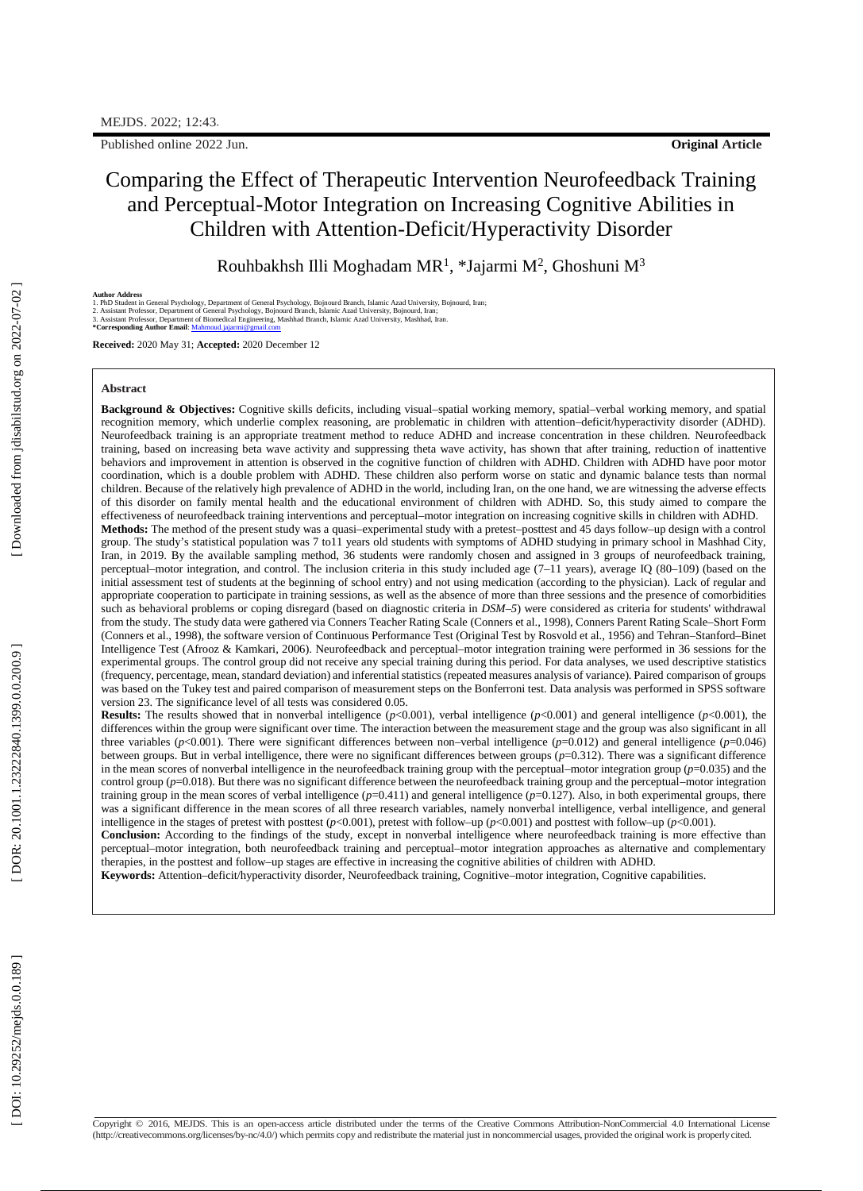Published online 202 2 Jun

# Comparing the Effect of Therapeutic Intervention Neurofeedback Training and Perceptual -Motor Integration on Increasing Cognitive Abilities in Children with Attention -Deficit/Hyperactivity Disorder

Rouhbakhsh Illi Moghadam MR<sup>1</sup>, \*Jajarmi M<sup>2</sup>, Ghoshuni M<sup>3</sup>

Author Address<br>1. PhD Student in General Psychology, Depart[m](file:///C:/Users/maryam/Downloads/Mahmoud.jajarmi@gmail.co)ent of General Psychology, Bojnourd Branch, Islamic Azad University, Bojnourd, Iran;<br>2. Assistant Professor, Department of General Psychology, Bojnourd Branch, Is

**Received:** 2020 May 31; **Accepted:** 2020 December 12

### **Abstract**

Background & Objectives: Cognitive skills deficits, including visual-spatial working memory, spatial-verbal working memory, and spatial recognition memory, which underlie complex reasoning, are problematic in children with attention –deficit/hyperactivity disorder (ADHD). Neurofeedback training is an appropriate treatment method to reduce ADHD and increase concentration in these children. Neurofeedback training, based on increasing beta wave activity and suppressing theta wave activity, has shown that after training, reduction of inattentive behaviors and improvement in attention is observed in the cognitive function of children with ADHD. Children with ADHD have poor motor coordination, which is a double problem with ADHD. These children also perform worse on static and dynamic balance tests than normal children. Because of the relatively high prevalence of ADHD in the world, including Iran, on the one hand, we are witnessing the adverse effects of this disorder on family mental health and the educational environment of children with ADHD. So, this study aimed to compare the effectiveness of neurofeedback training interventions and perceptual – motor integration on increasing cognitive skills in children with ADHD. Methods: The method of the present study was a quasi-experimental study with a pretest-posttest and 45 days follow-up design with a control group. The study's statistical population was 7 to11 years old students with symptoms of ADHD studying in primary school in Mashhad City, Iran, in 2019. By the available sampling method, 36 students were randomly chosen and assigned in 3 groups of neurofeedback training, perceptual–motor integration, and control. The inclusion criteria in this study included age (7–11 years), average IQ (80–109) (based on the initial assessment test of students at the beginning of school entry) and not using medication (according to the physician). Lack of regular and appropriate cooperation to participate in training sessions, as well as the absence of more than three sessions and the presence of comorbidities such as behavioral problems or coping disregard (based on diagnostic criteria in *DSM– 5*) were considered as criteria for students' withdrawal from the study. The study data were gathered via Conners Teacher Rating Scale (Conners et al., 1998), Conners Parent Rating Scale –Short Form (Conners et al., 1998), the software version of Continuous Performance Test (Original Test by Rosvold et al., 1956) and Tehran –Stanford –Binet Intelligence Test (Afrooz & Kamkari, 2006). Neurofeedback and perceptual –motor integration training were performed in 36 sessions for the experimental groups. The control group did not receive any special training during this period. For data analyses, we used descriptive statistics (frequency, percentage, mean, standard deviation) and inferential statistics (repeated measures analysis of variance). Paired comparison of groups was based on the Tukey test and paired comparison of measurement steps on the Bonferroni test. Data analysis was performed in SPSS software version 23. The significance level of all tests was considered 0.05.

**Results:** The results showed that in nonverbal intelligence (*p*<0.001), verbal intelligence (*p*<0.001) and general intelligence (*p*<0.001), the differences within the group were significant over time. The interaction between the measurement stage and the group was also significant in all three variables (*p*<0.001). There were significant differences between non –verbal intelligence (*p*=0.012) and general intelligence (*p*=0.046) between groups. But in verbal intelligence, there were no significant differences between groups ( *p*=0.312). There was a significant difference in the mean scores of nonverbal intelligence in the neurofeedback training group with the perceptual –motor integration group (*p*=0.035) and the control group (p=0.018). But there was no significant difference between the neurofeedback training group and the perceptual–motor integration training group in the mean scores of verbal intelligence (*p*=0.411) and general intelligence (*p*=0.127). Also, in both experimental groups, there was a significant difference in the mean scores of all three research variables, namely nonverbal intelligence, verbal intelligence, and general intelligence in the stages of pretest with posttest (*p*<0.001), pretest with follow–up (*p*<0.001) and posttest with follow–up (*p*<0.001). **Conclusion:** According to the findings of the study, except in nonverbal intelligence where neurofeedback training is more effective than perceptual –motor integration, both neurofeedback training and perceptual –motor integration approaches as alternative and complementary therapies, in the posttest and follow–up stages are effective in increasing the cognitive abilities of children with ADHD.

**Keywords:** Attention –deficit/hyperactivity disorder, Neurofeedback training, Cognitive –motor integration, Cognitive capabilities.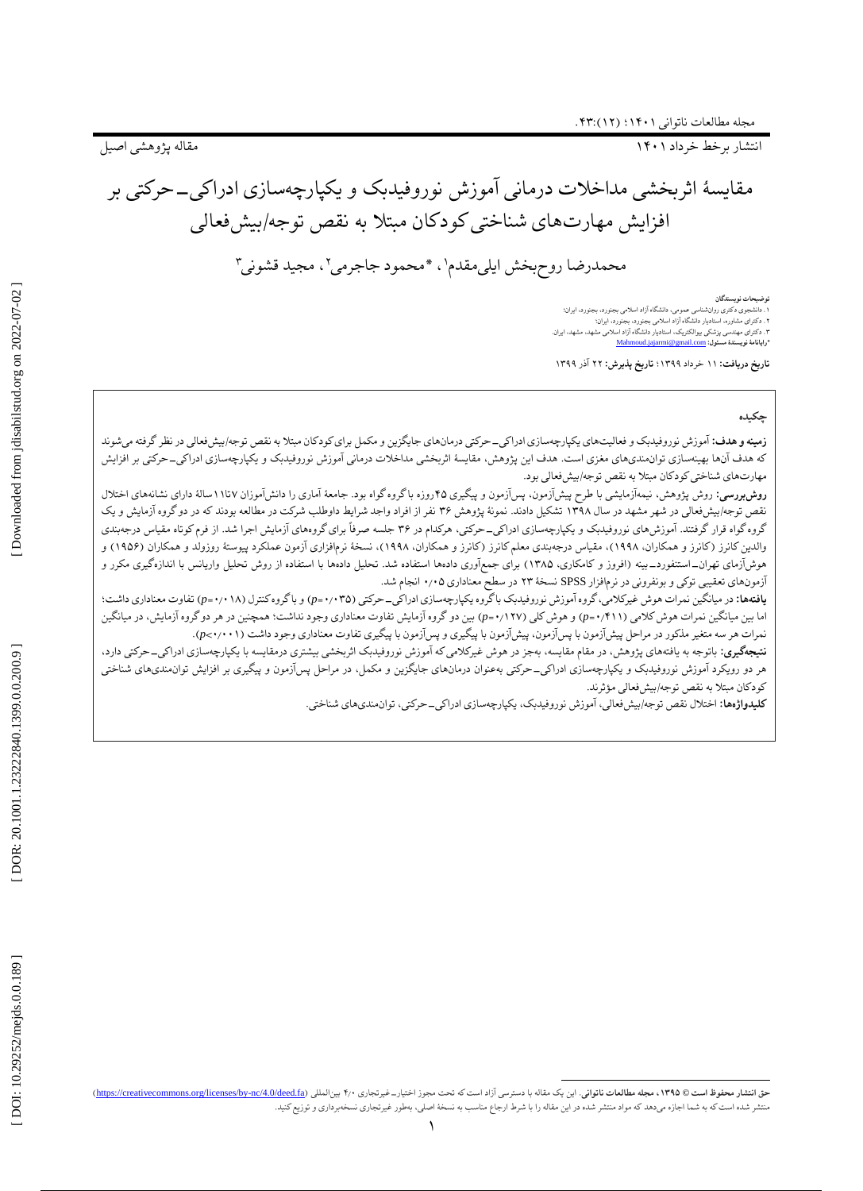1۴۰ انتشار برخط خرداد 1

مقاله پژوهشی اصیل

# مقایسهٔ اثربخشی مداخلات درمانی اموزش نوروفیدبک و یکپارچهسازی ادراکی\_حرکتی بر افزایش مهارتهای شناختی کودکان مبتال به نقص توجه/بیشفعالی

محمدرضا روحېخش ايلي مقدم \، \*محمود جاجرمي \، مجيد قشوني \

توضیحات نویسندگان<br>۱ ـ دانشجوی دکتری روازشناسی عمومی. دانشگاه آزاد اسلامی بجنورد. بجنورد. ایران؛<br>۲ ـ دکترای مهندسی بزشکی بیوالکتریک، استادیار دانشگاه آزاد اسلامی مشهد. ایران.<br>۳ ـ دکترای مهندسی پزشکی بیوالکتریک، استادیار دا

**تاریخ دریافت:** 11 خرداد 1۳۹۹؛ **تاریخ پذیرش:** ۲۲ آذر 1۳۹۹

## **چکیده**

ز**مینه و هدف:** اموزش نوروفیدبک و فعالیتهای یکپارچهسازی ادراکیــحرکتی درمانهای جایگزین و مکمل برای کودکان مبتلا به نقص توجه/بیشفعالی در نظر گرفته میشوند که هدف انها بهینهسازی توانمندیهای مغزی است. هدف این پژوهش، مقایسهٔ اثربخشی مداخلات درمانی اموزش نوروفیدبک و یکپارچهسازی ادراکی–حرکتی بر افزایش مهارتهای شناختی کودکان مبتال به نقص توجه/بیشفعالی بود.

**روشبررسی:** روش پژوهش، نیمهازمایشی با طرح پیشازمون، پسازمون و پیگیری ۴۵روزه با گروه گواه بود. جامعهٔ اماری را دانشاموزان ۱۱تا۱۱سالهٔ دارای نشانههای اختلال نقص توجه/بیشفعالی در شهر مشهد در سال 1۳۹۸ تشکیل دادند. نمونٔه پژوهش ۳۶ نفر از افراد واجد شرایط داوطلب شرکت در مطالعه بودند که در دوگروه آزمایش و یک گروه گواه قرار گرفتند. اموزش،های نوروفیدبک و یکپارچهسازی ادراکی–حرکتی، هرکدام در ۳۶ جلسه صرفا برای گروههای ازمایش اجرا شد. از فرم کوتاه مقیاس درجهبندی والدین کانرز (کانرز و همکاران، ۱۹۹۸)، مقیاس درجهبندی معلم کانرز (کانرز و همکاران، ۱۹۹۸)، نسخهٔ نرمافزاری ازمون عملکرد پیوستهٔ روزولد و همکاران (۱۹۵۶) و هوشازمای تهران\_استنفورد\_بینه (افروز و کامکاری، ۱۳۸۵) برای جمع|وری دادهها استفاده شد. تحلیل دادهها با استفاده از روش تحلیل واریانس با اندازهگیری مکرر و آزمونهای تعقیبی توکی و بونفرونی در نرمافزار SPSS نسخهٔ ۲۳ در سطح معناداری ۰/۰۵ انجام شد.

**یافتهها:** در میانگین نمرات هوش غیرکلامی، گروه آموزش نوروفیدبک باگروه یکپارچهسازی ادراکی\_حرکتی (p=۰/۰۲۵) و باگروه کنترل (p=۰/۰۱۸) تفاوت معناداری داشت؛ اما بین میانگین نمرات هوش کلامی (p=۰/۴۱۱) و هوش کلی (p-۰/۱۲۷) بین دو گروه آزمایش تفاوت معناداری وجود نداشت؛ همچنین در هر دو گروه آزمایش، در میانگین نمرات هر سه متغیر مذکور در مراحل پیشآزمون با پسآزمون، پیشآزمون با پیگیری و پسآزمون با پیگیری تفاوت معناداری وجود داشت (۰٫۰۰۰۱).

**نتیجهگیری:** باتوجه به یافتههای پژوهش، در مقام مقایسه، بهجز در هوش غیرکلامی که اموزش نوروفیدبک اثربخشی بیشتری درمقایسه با یکپارچهسازی ادراکیــ حرکتی دارد، هر دو رویکرد اموزش نوروفیدبک و یکپارچهسازی ادراکی\_حرکتی بهعنوان درمانهای جایگزین و مکمل، در مراحل پس|زمون و پیگیری بر افزایش توانαندیهای شناختی کودکان مبتلا به نقص توجه/بیشفعالی مؤثرند.

**کلیدواژهها:** اختلال نقص توجه/بیشفعالی، اموزش نوروفیدبک، یکپارچهسازی ادراکی\_حرکتی، توانαندیهای شناختی.

 $\overline{a}$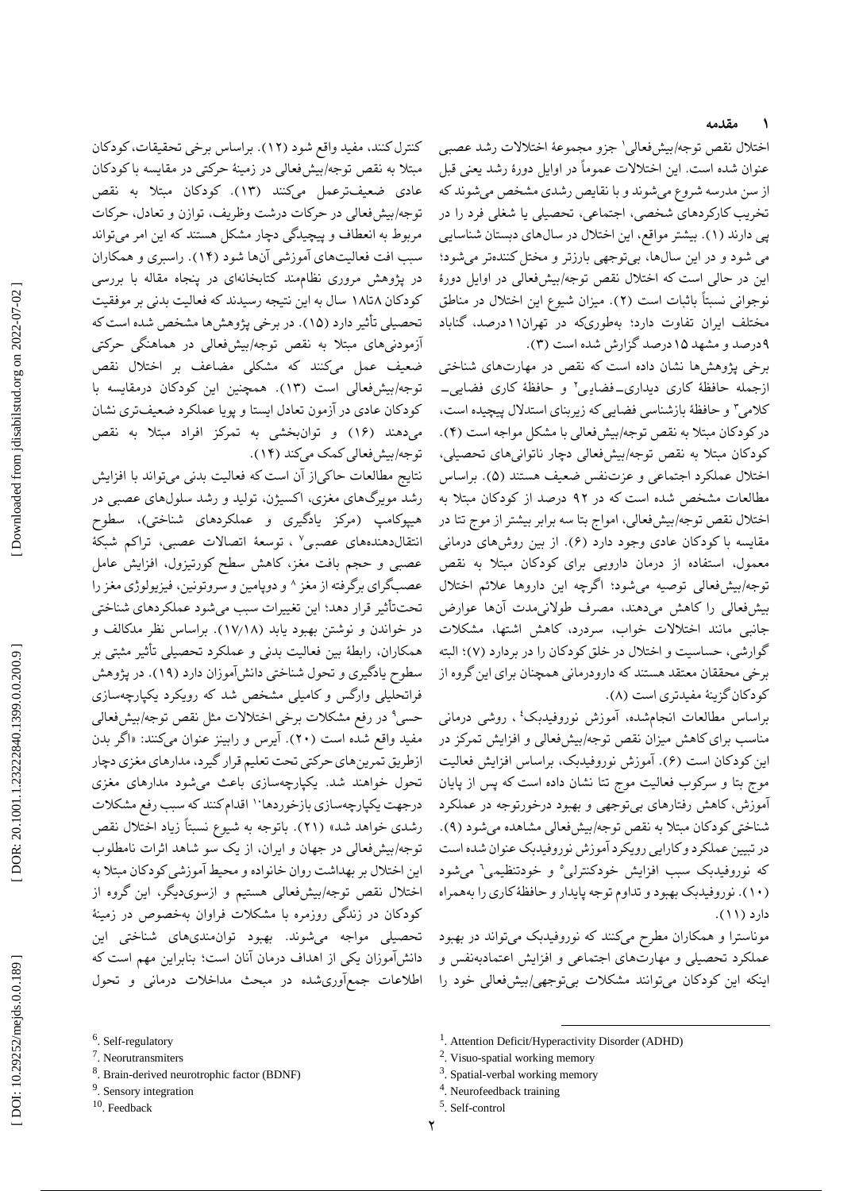#### **مقدمه ۱**

اختلال نقص توجه/بیشفعالی' جزو مجموعهٔ اختلالات رشد عصبی عنوان شده است. این اختالالت عموماً در اوایل دورٔه رشد یعنی قبل از سن مدرسه شروع میشوند و با نقایص رشدی مشخص میشوند که تخریب کارکردهای شخصی، اجتماعی، تحصیلی یا شغلی فرد را در پی دارند (۱). بیشتر مواقع، این اختلال در سال۵های دبستان شناسایی می شود و در این سالها، بیتوجهی بارزتر و مختل کنندهتر میشود؛ این در حالی است که اختالل نقص توجه/بیشفعالی در اوایل دورٔه نوجوانی نسبتاً باثبات است (۲). میزان شیوع این اختلال در مناطق مختلف ایران تفاوت دارد؛ بهطوریکه در تهران11درصد، گناباد .) درصد و مشهد 1۵درصد گزارش شده است )۳ ۹

برخی پژوهشها نشان داده است که نقص در مهارتهای شناختی ازجمله حافظهٔ کاری دیداری\_فضایی' و حافظهٔ کاری فضایی\_ کالمی ۳ و حافظٔه بازشناسی فضایی که زیربنای استدالل پیچیده است، در کودکان مبتلا به نقص توجه/بیشفعالی با مشکل مواجه است (۴). کودکان مبتال به نقص توجه/بیشفعالی دچار ناتوانیهای تحصیلی، اختلال عملکرد اجتماعی و عزتنفس ضعیف هستند (۵). براساس مطالعات مشخص شده است که در ۹۲ درصد از کودکان مبتال به اختالل نقص توجه/بیشفعالی، امواج بتا سه برابر بیشتر از موج تتا در مقایسه با کودکان عادی وجود دارد (۶). از بین روشهای درمانی معمول، استفاده از درمان دارویی برای کودکان مبتال به نقص توجه/بیشفعالی توصیه میشود؛ اگرچه این داروها عالئم اختالل بیشفعالی را کاهش میدهند، مصرف طوالنیمدت آنها عوارض جانبی مانند اختالالت خواب، سردرد، کاهش اشتها، مشکالت گوارشی، حساسیت و اختلال در خلق کودکان را در بردارد (۷)؛ البته برخی محققان معتقد هستند که دارودرمانی همچنان برای این گروه از .) کودکان گزینٔه مفیدتری است )۸

براساس مطالعات انجامشده، آموزش نوروفیدبک 4 ، روشی درمانی مناسب برای کاهش میزان نقص توجه/بیشفعالی و افزایش تمرکز در این کودکان است (۶). اموزش نوروفیدبک، براساس افزایش فعالیت موج بتا و سرکوب فعالیت موج تتا نشان داده است که پس از پایان آموزش، کاهش رفتارهای بیتوجهی و بهبود درخورتوجه در عملکرد .) شناختی کودکان مبتال به نقص توجه/بیشفعالی مشاهده میشود )۹ در تبیین عملکرد و کارایی رویکرد آموزش نوروفیدبک عنوان شده است که نوروفیدبک سبب افزایش خودکنترل<sub>ی</sub>° و خودتنظیمی<sup>7</sup> میشود 1۰(. نوروفیدبک بهبود و تداوم توجه پایدار و حافظٔه کاری را بههمراه ( دارد (١١).

موناسترا و همکاران مطرح میکنند که نوروفیدبک میتواند در بهبود عملکرد تحصیلی و مهارتهای اجتماعی و افزایش اعتمادبهنفس و اینکه این کودکان میتوانند مشکالت بیتوجهی/بیشفعالی خود را

کنترل کنند، مفید واقع شود )1۲(. براساس برخی تحقیقات، کودکان مبتال به نقص توجه/بیشفعالی در زمینٔه حرکتی در مقایسه با کودکان عادی ضعیفترعمل میکنند )1۳(. کودکان مبتال به نقص توجه/بیشفعالی در حرکات درشت وظریف، توازن و تعادل، حرکات مربوط به انعطاف و پیچیدگی دچار مشکل هستند که این امر میتواند سبب افت فعالیتهای آموزشی آنها شود )1۴(. راسبری و همکاران در پژوهش مروری نظاممند کتابخانهای در پنجاه مقاله با بررسی کودکان ۱۸تا۱۸ سال به این نتیجه رسیدند که فعالیت بدنی بر موفقیت تحصیلی تأثیر دارد )1۵(. در برخی پژوهشها مشخص شده است که آزمودنیهای مبتال به نقص توجه/بیشفعالی در هماهنگی حرکتی ضعیف عمل میکنند که مشکلی مضاعف بر اختالل نقص توجه/بیشفعالی است (۱۳). همچنین این کودکان درمقایسه با کودکان عادی در آزمون تعادل ایستا و پویا عملکرد ضعیفتری نشان میدهند )1۶( و توانبخشی به تمرکز افراد مبتال به نقص

نتایج مطالعات حاکیاز آن است که فعالیت بدنی میتواند با افزایش رشد مویرگهای مغزی، اکسیژن، تولید و رشد سلولهای عصبی در هیپوکامپ )مرکز یادگیری و عملکردهای شناختی(، سطوح انتقالدهندههای عصب<sub>ع</sub> '. توسعهٔ اتصالات عصبی، تراکم شبکهٔ عصبی و حجم بافت مغز، کاهش سطح کورتیزول، افزایش عامل عصبگرای برگرفته از مغز ^ و دوپامین و سروتونین، فیزیولوژی مغز را تحتتأثیر قرار دهد؛ این تغییرات سبب میشود عملکردهای شناختی در خواندن و نوشتن بهبود یابد (۱۷٬۱۸). براساس نظر مدکالف و همکاران، رابطهٔ بین فعالیت بدنی و عملکرد تحصیلی تاثیر مثبتی بر سطوح یادگیری و تحول شناختی دانشآموزان دارد )1۹(. در پژوهش فراتحلیلی وارگس و کامیلی مشخص شد که رویکرد یکپارچهسازی حسی<sup>۹</sup> در رفع مشکلات برخی اختلالات مثل نقص توجه/بیشفعالی مفید واقع شده است (۲۰). ایرس و رابینز عنوان میکنند: «اگر بدن ازطریق تمرینهای حرکتی تحت تعلیم قرار گیرد، مدارهای مغزی دچار تحول خواهند شد. یکپارچهسازی باعث میشود مدارهای مغزی درجهت یکپارچهسازی بازخوردها<sup>۱۰</sup> اقدام کنند که سبب رفع مشکلات رشدی خواهد شد» (۲۱). باتوجه به شیوع نسبتاً زیاد اختلال نقص توجه/بیشفعالی در جهان و ایران، از یک سو شاهد اثرات نامطلوب این اختالل بر بهداشت روان خانواده و محیط آموزشی کودکان مبتال به اختالل نقص توجه/بیشفعالی هستیم و ازسویدیگر، این گروه از کودکان در زندگی روزمره با مشکالت فراوان بهخصوص در زمینٔه تحصیلی مواجه میشوند. بهبود توانمندیهای شناختی این دانشآموزان یکی از اهداف درمان آنان است؛ بنابراین مهم است که 6 اطالعات جمعآوریشده در مبحث مداخالت درمانی و تحول

توجه/بیشفعالی کمک میکند )1۴(.

۲

<sup>.</sup> Self -regulatory

<sup>7</sup> . Neorutransmiters

<sup>&</sup>lt;sup>8</sup>. Brain-derived neurotrophic factor (BDNF)

<sup>&</sup>lt;sup>9</sup>. Sensory integration

<sup>10</sup> . Feedback

 $\overline{a}$ <sup>1</sup>. Attention Deficit/Hyperactivity Disorder (ADHD)

<sup>&</sup>lt;sup>2</sup>. Visuo-spatial working memory

<sup>&</sup>lt;sup>3</sup>. Spatial-verbal working memory

<sup>&</sup>lt;sup>4</sup>. Neurofeedback training

<sup>5</sup> . Self -control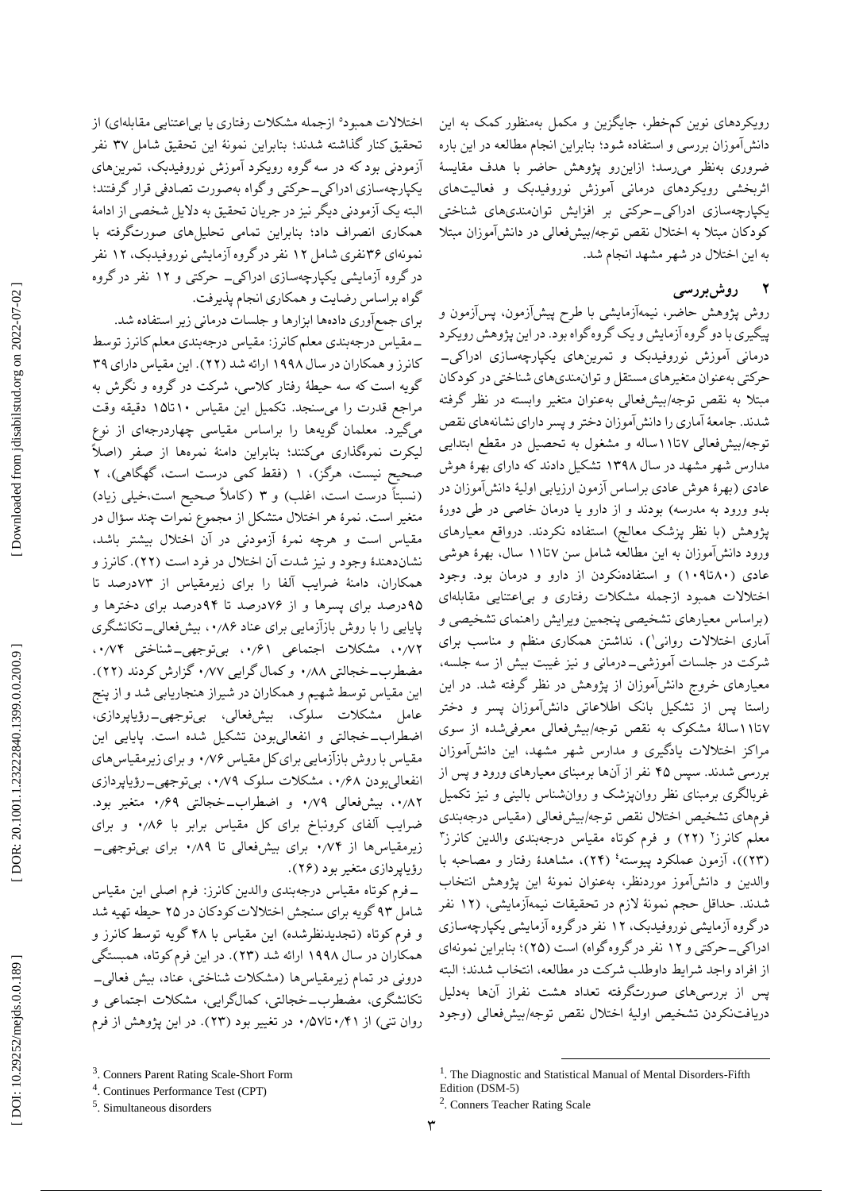رویکردهای نوین کمخطر، جایگزین و مکمل بهمنظور کمک به این دانشآموزان بررسی و استفاده شود؛ بنابراین انجام مطالعه در این باره ضروری بهنظر میرسد؛ ازاینرو پژوهش حاضر با هدف مقایسٔه اثربخشی رویکردهای درمانی آموزش نوروفیدبک و فعالیتهای یکپارچهسازی ادراکی\_حرکتی بر افزایش توان.ندیهای شناختی کودکان مبتال به اختالل نقص توجه/بیشفعالی در دانشآموزان مبتال به این اختالل در شهر مشهد انجام شد. اختلالات همبود° ازجمله مشکلات رفتاری یا بی|عتنایی مقابلهای) از تحقیق کنار گذاشته شدند؛ بنابراین نمونٔه این تحقیق شامل ۳۷ نفر آزمودنی بود که در سه گروه رویکرد آموزش نوروفیدبک، تمرینهای یکپارچهسازی ادراکی\_حرکتی و گواه بهصورت تصادفی قرار گرفتند؛ البته یک آزمودنی دیگر نیز در جریان تحقیق به دالیل شخصی از ادامٔه همکاری انصراف داد؛ بنابراین تمامی تحلیلهای صورتگرفته با نمونهای ۳۶نفری شامل ۱۲ نفر درگروه ازمایشی نوروفیدبک، ۱۲ نفر

### **روشبررسی 2**

روش پژوهش حاضر، نیمهازمایشی با طرح پیشازمون، پسازمون و پیگیری با دو گروه آزمایش و یک گروه گواه بود. در این پژوهش رویکرد<br>درمانی آموزش نوروفیدبک و تمرینهای یکپارچهسازی ادراکی\_ حرکتی بهعنوان متغیرهای مستقل و توانمندیهای شناختی در کودکان مبتال به نقص توجه/بیشفعالی بهعنوان متغیر وابسته در نظر گرفته شدند. جامعهٔ اماری را دانش۱موزان دختر و پسر دارای نشانههای نقص توجه/بیشفعالی ۱۱تا۱۱ساله و مشغول به تحصیل در مقطع ابتدایی مدارس شهر مشهد در سال 1۳۹۸ تشکیل دادند که دارای بهرٔه هوش عادی (بهرهٔ هوش عادی براساس آزمون ارزیابی اولیهٔ دانشآموزان در بدو ورود به مدرسه) بودند و از دارو یا درمان خاصی در طی دورهٔ پژوهش )با نظر پزشک معالج( استفاده نکردند. درواقع معیارهای ورود دانش|موزان به این مطالعه شامل سن ۱۱تا۱۱ سال، بهرهٔ هوشی عادی (۱۰۹تا۱۰) و استفادهنکردن از دارو و درمان بود. وجود اختالالت همبود ازجمله مشکالت رفتاری و بیاعتنایی مقابلهای )براساس معیارهای تشخیصی پنجمین ویرایش راهنمای تشخیصی و آماری اختالالت روانی 1 ، نداشتن همکاری منظم و مناسب برای ( شرکت در جلسات اموزشی\_درمانی و نیز غیبت بیش از سه جلسه، معیارهای خروج دانشآموزان از پژوهش در نظر گرفته شد. در این راستا پس از تشکیل بانک اطالعاتی دانشآموزان پسر و دختر ۱۵تا۱۱سالهٔ مشکوک به نقص توجه/بیشفعالی معرفیشده از سوی مراکز اختالالت یادگیری و مدارس شهر مشهد، این دانشآموزان بررسی شدند. سپس ۴۵ نفر از آنها برمبنای معیارهای ورود و پس از غربالگری برمبنای نظر روانپزشک و روانشناس بالینی و نیز تکمیل فرمهای تشخیص اختالل نقص توجه/بیشفعالی )مقیاس درجهبندی معلم کانرز' (۲۲) و فرم کوتاه مقیاس درجهبندی والدین کانرز۳ (۲۳))، آزمون عملکرد پیوسته<sup>؛</sup> (۲۴)، مشاهدهٔ رفتار و مصاحبه با والدین و دانشآموز موردنظر، بهعنوان نمونٔه این پژوهش انتخاب شدند. حداقل حجم نمونهٔ لازم در تحقیقات نیمهازمایشی، (۱۲ نفر در گروه آزمایشی نوروفیدبک، 1۲ نفر در گروه آزمایشی یکپارچهسازی ادراکی\_حرکتی و ۱۲ نفر در گروه گواه) است (۲۵)؛ بنابراین نمونهای از افراد واجد شرایط داوطلب شرکت در مطالعه، انتخاب شدند؛ البته پس از بررسیهای صورتگرفته تعداد هشت نفراز آنها بهدلیل دریافتنکردن تشخیص اولیٔه اختالل نقص توجه/بیشفعالی )وجود

در گروه ازمایشی یکپارچهسازی ادراکی\_ حرکتی و ۱۲ نفر در گروه

لیکرت نمرهگذاری میکنند؛ بنابراین دامنهٔ نمرهها از صفر (اصلاً<br>صحیح نیست، هرگز)، ۱ (فقط کمی درست است، گهگاهی)، ۲

(نسبتاً درست است، اغلب) و ۳ (کاملاً صحیح است،خیلی زیاد) متغیر است. نمرٔه هر اختالل متشکل از مجموع نمرات چند سؤال در مقیاس است و هرچه نمرٔه آزمودنی در آن اختالل بیشتر باشد، نشاندهندهٔ وجود و نیز شدت ان اختلال در فرد است (۲۲). کانرز و همکاران، دامنهٔ ضرایب الفا را برای زیرمقیاس از ۷۳درصد تا ۹۵درصد برای پسرها و از ۷۶درصد تا ۹۴درصد برای دخترها و پایایی را با روش بازازمایی برای عناد ۰٫۸۶ ، بیشفعالی\_تکانشگری ۰۰/۷۲ مشکلات اجتماعی ۰۰/۶۱ بیتوجهی\_شناختی ۰۰/۷۴ مضطرب\_خجالتی ۰٬۸۸ و کمال گرایی ۰٬۷۷ گزارش کردند (۲۲). این مقیاس توسط شهیم و همکاران در شیراز هنجاریابی شد و از پنج عامل مشکلات سلوک، بیشفعالی، بیتوجهی\_رؤیاپردازی، اضطراب\_خجالتی و انفعالیبودن تشکیل شده است. پایایی این مقیاس با روش بازازمایی برای کل مقیاس ۰٫۷۶ و برای زیرمقیاس های انفعالیبودن ۰٫۶۸، مشکلات سلوک ۰٫۷۹ بیتوجهی\_رؤیاپردازی ۰٬۸۲ بیشفعالی ۰٬۷۹ و اضطراب\_خجالتی ۰٬۶۹ متغیر بود. ضرایب الفای کرونباخ برای کل مقیاس برابر با ۰٬۸۶ و برای زیرمقیاسها از ۰٫۷۴ برای بیشفعالی تا ۰٫۸۹ برای بیتوجهی\_

فرم کوتاه مقیاس درجهبندی والدین کانرز: فرم اصلی این مقیاس - شامل ۹۳گویه برای سنجش اختالالت کودکان در ۲۵ حیطه تهیه شد و فرم کوتاه )تجدیدنظرشده( این مقیاس با ۴۸ گویه توسط کانرز و

همکاران در سال ۱۹۹۸ ارائه شد (۲۳). در این فرم کوتاه، همبستگی<br>درونی در تمام زیرمقیاس ها (مشکلات شناختی، عناد، بیش فعالی۔

تکانشگری، مضطرب\_خجالتی، کمالگرایی، مشکلات اجتماعی و روان تنی) از ۰/۵۷تا۰٬۵۷ در تغییر بود (۲۳). در این پژوهش از فرم

وری دادهها ابزارها و جلسات درمانی زیر استفاده شد. برای جمعآ مقیاس درجهبندی معلم کانرز: مقیاس درجهبندی معلم کانرز توسط - کانرز و همکاران در سال 1۹۹۸ ارائه شد )۲۲(. این مقیاس دارای ۳۹ گویه است که سه حیطٔه رفتار کالسی، شرکت در گروه و نگرش به مراجع قدرت را میسنجد. تکمیل این مقیاس 1۰تا1۵ دقیقه وقت میگیرد. معلمان گویهها را براساس مقیاسی چهاردرجهای از نوع

گواه براساس رضایت و همکاری انجام پذیرفت.

 $\overline{a}$ 

رؤیاپردازی متغیر بود (۲۶).

<sup>&</sup>lt;sup>3</sup>. Conners Parent Rating Scale-Short Form

<sup>4</sup> . Continues Performance Test (CPT)

<sup>5</sup> . Simultaneous disorders

<sup>&</sup>lt;sup>1</sup>. The Diagnostic and Statistical Manual of Mental Disorders-Fifth Edition (DSM -5)

<sup>2</sup> . Conners Teacher Rating Scale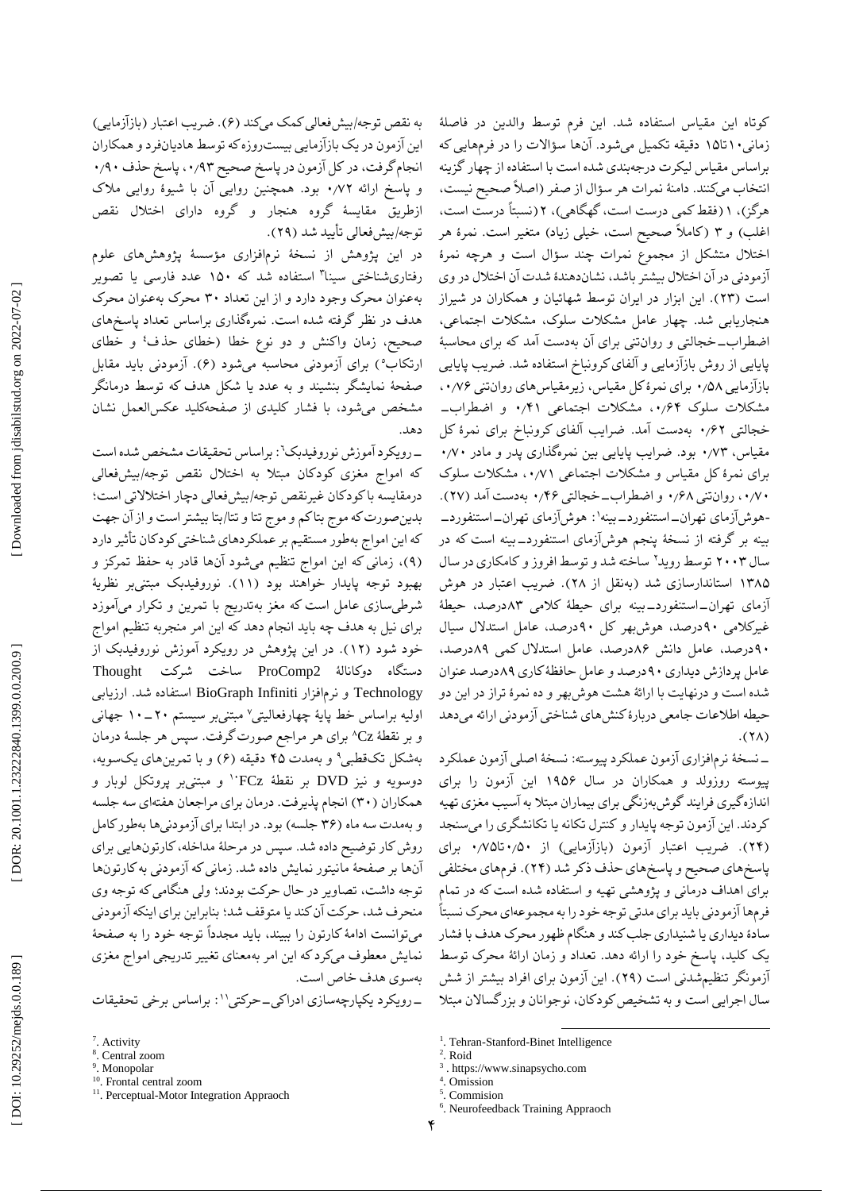به نقص توجه/بیشفعالی کمک میکند (۶). ضریب اعتبار (بازازمایی) این آزمون در یک بازآزمایی بیستروزه که توسط هادیانفرد و همکاران<br>انجام گرفت، در کل آزمون در پاسخ صحیح ۰٫۹۳ پاسخ حذف ۰٫۹۰ و پاسخ ارائه ۰/۷۲ بود. همچنین روایی ان با شیوهٔ روایی ملاک ازطریق مقایسٔه گروه هنجار و گروه دارای اختالل نقص توجه/بیشفعالی تایید شد (۲۹).

در این پژوهش از نسخهٔ نرمافزاری مؤسسهٔ پژوهشهای علوم رفتاریشناختی سینا ۳ استفاده شد که 1۵۰ عدد فارسی یا تصویر بهعنوان محرک وجود دارد و از این تعداد ۳۰ محرک بهعنوان محرک هدف در نظر گرفته شده است. نمرهگذاری براساس تعداد پاسخهای صحیح، زمان واکنش و دو نوع خطا (خطای حذف<sup>؛</sup> و خطای ارتکاب°) برای آزمودنی محاسبه میشود (۶). آزمودنی باید مقابل صفحٔه نمایشگر بنشیند و به عدد یا شکل هدف که توسط درمانگر مشخص میشود، با فشار کلیدی از صفحهکلید عکسالعمل نشان دهد.

ــ رویکرد آموزش نوروفیدبک<sup>٦</sup>: براساس تحقیقات مشخص شده است که امواج مغزی کودکان مبتلا به اختلال نقص توجه/بیشفعالی<br>درمقایسه باکودکان غیرنقص توجه/بیشفعالی دچار اختلالاتی است؛ بدینصورت که موج بتا کم و موج تتا و تتا/بتا بیشتر است و از آن جهت که این امواج بهطور مستقیم بر عملکردهای شناختی کودکان تاثیر دارد (۹)، زمانی که این امواج تنظیم میشود آنها قادر به حفظ تمرکز و بهبود توجه پایدار خواهند بود )11(. نوروفیدبک مبتنیبر نظریٔه شرطیسازی عامل است که مغز بهتدریج با تمرین و تکرار می|موزد برای نیل به هدف چه باید انجام دهد که این امر منجربه تنظیم امواج خود شود )1۲(. در این پژوهش در رویکرد آموزش نوروفیدبک از ProComp ساخت شرکت Thought دستگاه دوکانالٔه 2 Technology و نرم|فزار BioGraph Infiniti استفاده شد. ارزیابی<br>اولیه براساس خط پایهٔ چهارفعالیتی<sup>۷</sup> مبتنیبر سیستم ۲۰–۱۰ جهانی و بر نقطهٔ Cz° برای هر مراجع صورت گرفت. سپس هر جلسهٔ درمان بهشکل تکقطبی° و بهمدت ۴۵ دقیقه (۶) و با تمرینهای یکسویه، و مبتنیبر پروتکل لوبار و <sup>1</sup>۰ دوسویه و نیز DVD بر نقطٔه FCz همکاران (۳۰) انجام پذیرفت. درمان برای مراجعان هفتهای سه جلسه و بهمدت سه ماه (۳۶ جلسه) بود. در ابتدا برای ازمودنیها بهطورکامل روش کار توضیح داده شد. سپس در مرحلهٔ مداخله، کارتونهایی برای انها بر صفحهٔ مانیتور نمایش داده شد. زمانی که ازمودنی به کارتونها توجه داشت، تصاویر در حال حرکت بودند؛ ولی هنگامی که توجه وی منحرف شد، حرکت آن کند یا متوقف شد؛ بنابراین برای اینکه آزمودنی میتوانست ادامهٔ کارتون را ببیند، باید مجدداً توجه خود را به صفحهٔ نمایش معطوف میکرد که این امر بهمعنای تغییر تدریجی امواج مغزی سوی هدف خاص است. به

\_رویکرد یکپارچهسازی ادراکی\_حرکتی'': براساس برخی تحقیقات

- 10 . Frontal central zoom
- <sup>11</sup>. Perceptual-Motor Integration Appraoch

کوتاه این مقیاس استفاده شد. این فرم توسط والدین در فاصلٔه زمانی۱۰تا۱۵ دقیقه تکمیل میشود. آنها سؤالات را در فرمهایی که براساس مقیاس لیکرت درجهبندی شده است با استفاده از چهار گزینه انتخاب میکنند. دامنهٔ نمرات هر سؤال از صفر (اصلا صحیح نیست، هرگز)، ۱ (فقط کمی درست است، گهگاهی)، ۲ (نسبتاً درست است، اغلب) و ۳ (کاملاً صحیح است، خیلی زیاد) متغیر است. نمرهٔ هر اختلال متشکل از مجموع نمرات چند سؤال است و هرچه نمرهٔ ازمودنی در آن اختلال بیشتر باشد، نشاندهندهٔ شدت آن اختلال در وی است (۲۳). این ابزار در ایران توسط شهائیان و همکاران در شیراز هنجاریابی شد. چهار عامل مشکالت سلوک، مشکالت اجتماعی، اضطراب\_خجالتی و روانتنی برای آن بهدست امد که برای محاسبهٔ ضریب پایایی پایایی از روش بازآزمایی و آلفای کرونباخ استفاده شد. بازازمایی ۰٫۵۸ برای نمرهٔ کل مقیاس، زیرمقیاسهای روانتنی ۰۰٫۷۶ مشکلات سلوک ۰٫۶۴، مشکلات اجتماعی ۰٫۴۱ و اضطراب\_ خجالتی ۰٬۶۲ بهدست امد. ضرایب الفای کرونباخ برای نمرهٔ کل مقیاس، ۰٫۷۳ بود. ضرایب پایایی بین نمرهگذاری پدر و مادر ۰٫۷۰ برای نمرهٔ کل مقیاس و مشکلات اجتماعی ۰۰/۷۱ مشکلات سلوک ۰٫۷۰ . روانتنی ۰٫۶۸ و اضطراب\_خجالتی ۰٫۴۶ بهدست امد (۲۷). -هوشآزمای تهران\_استنفورد\_بینه': هوشآزمای تهران\_استنفورد\_ بینه بر گرفته از نسخهٔ پنجم هوش(زمای استنفوردـــ بینه است که در سال ۲۰۰۳ توسط روید۲ ساخته شد و توسط افروز و کامکاری در سال 1۳۸۵ استاندارسازی شد )بهنقل از ۲۸(. ضریب اعتبار در هوش ازمای تهران\_استنفورد\_بینه برای حیطهٔ کلامی ۸۳درصد، حیطهٔ غیرکالمی ۹۰درصد، هوشبهر کل ۹۰درصد، عامل استدالل سیال ۹۰درصد، عامل دانش ۸۶درصد، عامل استدالل کمی ۸۹درصد، عامل پردازش دیداری ۹۰درصد و عامل حافظٔه کاری ۸۹درصد عنوان شده است و درنهایت با ارائٔه هشت هوشبهر و ده نمرٔه تراز در این دو حیطه اطالعات جامعی دربارٔه کنشهای شناختی آزمودنی ارائه میدهد  $.$ (۲۸)

ــ نسخهٔ نرمافزاری ازمون عملکرد پیوسته: نسخهٔ اصلی ازمون عملکرد پیوسته روزولد و همکاران در سال 1۹۵۶ این آزمون را برای اندازهگیری فرایند گوش بهزنگی برای بیماران مبتلا به اسیب مغزی تهیه کردند. این آزمون توجه پایدار و کنترل تکانه یا تکانشگری را میسنجد (۲۴). ضریب اعتبار ازمون (بازازمایی) از ۰٫۷۰تا۰٫۷۵ برای پاسخهای صحیح و پاسخهای حذف ذکر شد )۲۴(. فرمهای مختلفی برای اهداف درمانی و پژوهشی تهیه و استفاده شده است که در تمام فرمها آزمودنی باید برای مدتی توجه خود را به مجموعهای محرک نسبتاً سادٔه دیداری یا شنیداری جلب کند و هنگام ظهور محرک هدف با فشار یک کلید، پاسخ خود را ارائه دهد. تعداد و زمان ارائهٔ محرک توسط ازمونگر تنظیم شدنی است (۲۹). این ازمون برای افراد بیشتر از شش سال اجرایی است و به تشخیص کودکان، نوجوانان و بزرگسالان مبتلا

 $\overline{a}$ 

4 . Omission 5

<sup>&</sup>lt;sup>7</sup>. Activity

<sup>8</sup> . Central zoom

<sup>&</sup>lt;sup>9</sup>. Monopolar

<sup>&</sup>lt;sup>1</sup>. Tehran-Stanford-Binet Intelligence

<sup>2</sup> . Roid

<sup>3</sup> . https://www.sinapsycho.com

<sup>.</sup> Commision

<sup>6</sup> . Neurofeedback Training Appraoch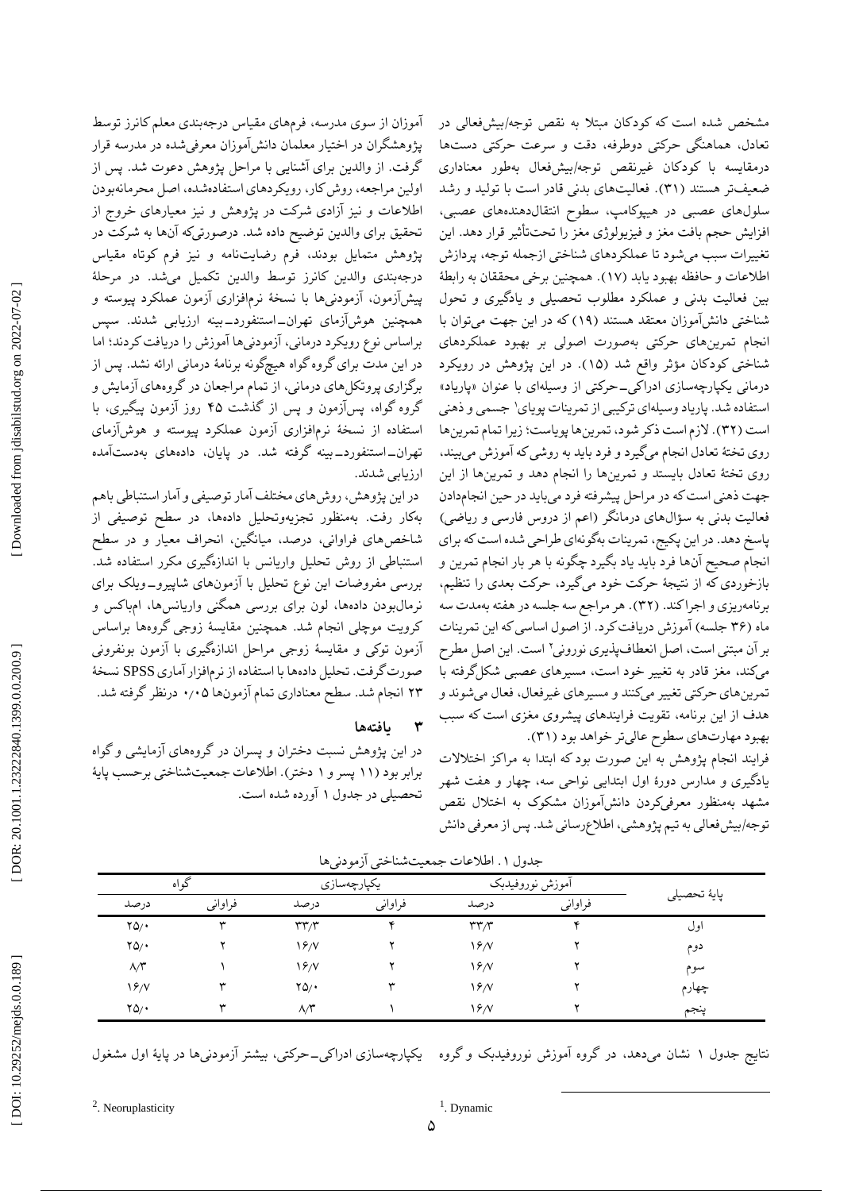آموزان از سوی مدرسه، فرمهای مقیاس درجهبندی معلم کانرز توسط پژوهشگران در اختیار معلمان دانشآموزان معرفیشده در مدرسه قرار گرفت. از والدین برای آشنایی با مراحل پژوهش دعوت شد. پس از اولین مراجعه، روش کار، رویکردهای استفادهشده، اصل محرمانهبودن اطالعات و نیز آزادی شرکت در پژوهش و نیز معیارهای خروج از تحقیق برای والدین توضیح داده شد. درصورتیکه انها به شرکت در پژوهش متمایل بودند، فرم رضایتنامه و نیز فرم کوتاه مقیاس درجهبندی والدین کانرز توسط والدین تکمیل میشد. در مرحلٔه پیشآزمون، آزمودنیها با نسخٔه نرمافزاری آزمون عملکرد پیوسته و همچنین هوش|زمای تهران\_استنفورد\_بینه ارزیابی شدند. سپس براساس نوع رویکرد درمانی، آزمودنیها آموزش را دریافت کردند؛ اما در این مدت برای گروه گواه هیچگونه برنامٔه درمانی ارائه نشد. پس از برگزاری پروتکلهای درمانی، از تمام مراجعان در گروههای ازمایش و پسآزمون و پس از گذشت ۴۵ روز آزمون پیگیری، با گروه گواه، استفاده از نسخٔه نرمافزاری آزمون عملکرد پیوسته و هوشآزمای تهران\_استنفورد\_بینه گرفته شد. در پایان، دادههای بهدستامده ارزیابی شدند.

در این پژوهش، روش،مای مختلف امار توصیفی و امار استنباطی باهم بهکار رفت. بهمنظور تجزیهوتحلیل دادهها، در سطح توصیفی از شاخصهای فراوانی، درصد، میانگین، انحراف معیار و در سطح استنباطی از روش تحلیل واریانس با اندازهگیری مکرر استفاده شد. بررسی مفروضات این نوع تحلیل با آزمونهای شاپیرو\_ویلک برای نرمالبودن دادهها، لون برای بررسی همگنی واریانسها، امباکس و کرویت موچلی انجام شد. همچنین مقایسٔه زوجی گروهها براساس ازمون توکی و مقایسهٔ زوجی مراحل اندازهگیری با ازمون بونفرونی صورت گرفت. تحلیل دادهها با استفاده از نرمافزار آماری SPSS نسخٔه درنظر گرفته شد. ۰ ۲۳ انجام شد. سطح معناداری تمام آزمونها ٫۰۵

#### **یافتهها ۳**

در این پژوهش نسبت دختران و پسران در گروههای آزمایشی و گواه برابر بود (۱۱ پسر و ۱ دختر). اطلاعات جمعیتشناختی برحسب پایهٔ تحصیلی در جدول ۱ اورده شده است.

مشخص شده است که کودکان مبتال به نقص توجه/بیشفعالی در تعادل، هماهنگی حرکتی دوطرفه، دقت و سرعت حرکتی دستها درمقایسه با کودکان غیرنقص توجه/بیشفعال بهطور معناداری ضعیفتر هستند (۳۱). فعالیتهای بدنی قادر است با تولید و رشد سلولهای عصبی در هیپوکامپ، سطوح انتقالدهندههای عصبی، افزایش حجم بافت مغز و فیزیولوژی مغز را تحتتاثیر قرار دهد. این تغییرات سبب میشود تا عملکردهای شناختی ازجمله توجه، پردازش اطلاعات و حافظه بهبود یابد (۱۷). همچنین برخی محققان به رابطهٔ بین فعالیت بدنی و عملکرد مطلوب تحصیلی و یادگیری و تحول شناختی دانشآموزان معتقد هستند )1۹( که در این جهت میتوان با انجام تمرینهای حرکتی بهصورت اصولی بر بهبود عملکردهای شناختی کودکان مؤثر واقع شد (۱۵). در این پژوهش در رویکرد درمانی یکپارچهسازی ادراک<sub>ی</sub>\_حرکتی از وسیلهای با عنوان «پاریاد» استفاده شد. پاریاد وسیلهای ترکیبی از تمرینات پویای 1 جسمی و ذهنی است (۳۲). لازم است ذکر شود، تمرینها پویاست؛ زیرا تمام تمرینها روی تختهٔ تعادل انجام میگیرد و فرد باید به روشی که اموزش میبیند، روی تختٔه تعادل بایستد و تمرینها را انجام دهد و تمرینها از این جهت ذهنی است که در مراحل پیشرفته فرد میباید در حین انجامدادن فعالیت بدنی به سؤال های درمانگر (اعم از دروس فارسی و ریاضی) پاسخ دهد. در این پکیج، تمرینات بهگونهای طراحی شده است که برای انجام صحیح آنها فرد باید یاد بگیرد چگونه با هر بار انجام تمرین و بازخوردی که از نتیجهٔ حرکت خود میگیرد، حرکت بعدی را تنظیم، برنامهریزی و اجراکند. (۳۲). هر مراجع سه جلسه در هفته بهمدت سه ماه (۳۶ جلسه) آموزش دریافت کرد. از اصول اساسی که این تمرینات ۲ است بر آن مبتنی است، اصل انعطافپذیری نورونی . این اصل مطرح میکند، مغز قادر به تغییر خود است، مسیرهای عصبی شکلگرفته با تمرینهای حرکتی تغییر میکنند و مسیرهای غیرفعال، فعال میشوند و هدف از این برنامه، تقویت فرایندهای پیشروی مغزی است که سبب

بهبود مهارتهای سطوح عالیتر خواهد بود (۳۱). فرایند انجام پژوهش به این صورت بود که ابتدا به مراکز اختالالت یادگیری و مدارس دورٔه اول ابتدایی نواحی سه، چهار و هفت شهر مشهد بهمنظور معرفیکردن دانشآموزان مشکوک به اختالل نقص توجه/بیشفعالی به تیم پژوهشی، اطلاعرسانی شد. پس از معرفی دانش

 $\overline{a}$ 

| څو اه              |         | يكپارچەسازى            |         | أموزش نوروفيدبك        |         |              |
|--------------------|---------|------------------------|---------|------------------------|---------|--------------|
| درصد               | فراواني | در صد                  | فراواني | در صد                  | فراواني | پايهٔ تحصيلي |
| $YQ/\cdot$         | w       | $\mathbf{r}\mathbf{r}$ |         | $\mathbf{r}\mathbf{r}$ |         | اول          |
| $YQ/\cdot$         |         | 19/                    |         | $\frac{6}{2}$          |         | دوم          |
| $\Lambda/\Upsilon$ |         | $\frac{6}{7}$          |         | $\frac{6}{2}$          |         | سوم          |
| 19/N               | w       | $\gamma_{\Delta/2}$    |         | $\frac{6}{2}$          |         | چهارم        |
| $YQ/\cdot$         | w       | $\Lambda/\Upsilon$     |         | 18/                    |         | ينجم         |

جدول ۱. اطلاعات جمعیتشناختی ازمودنیها

نتایج جدول ۱ نشان میدهد. در گروه اموزش نوروفیدبک و گروه \_یکپارچهسازی ادراکی\_حرکتی، بیشتر ازمودنیها در پایهٔ اول مشغول

<sup>2</sup>. Neoruplasticity

<sup>1</sup>. Dynamic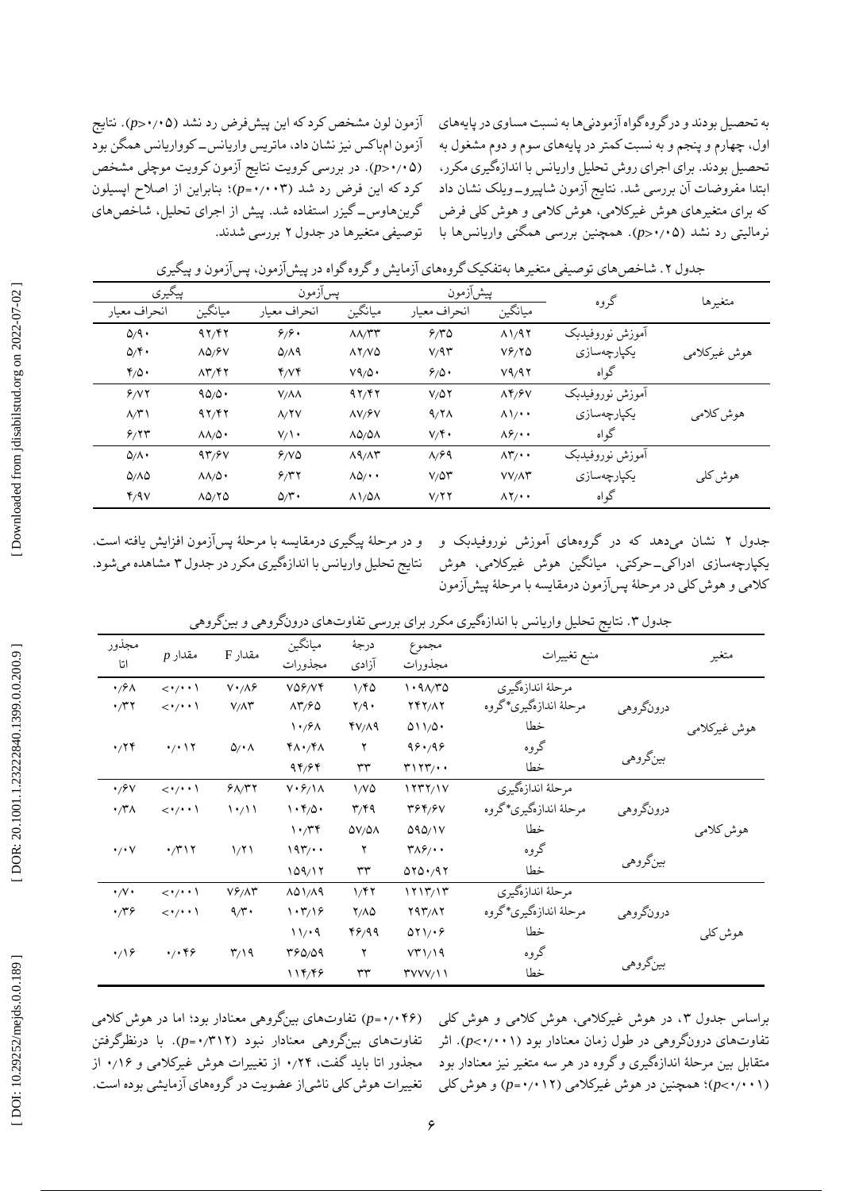آزمون لون مشخص کرد که این پیشفرض رد نشد (p>**۰**/۰۵). نتایج ازمون امباکس نیز نشان داد، ماتریس واریانس\_کوواریانس همگن بود . در بررسی کرویت نتایج آزمون کرویت موچلی مشخص )*p* < ۰ ٫۰۵ ( کرد که این فرض رد شد (۰۰**۳–<sub>p)</sub>؛ بنابراین از اصلاح اپسیلون** گیزر استفاده شد. پیش از اجرای تحلیل، شاخصهای گرینهاوس- توصیفی متغیرها در جدول ۲ بررسی شدند. به تحصیل بودند و در گروه گواه آزمودنیها به نسبت مساوی در پایههای اول، چهارم و پنجم و به نسبت کمتر در پایههای سوم و دوم مشغول به تحصیل بودند. برای اجرای روش تحلیل واریانس با اندازهگیری مکرر، ابتدا مفروضات ان بررسی شد. نتایج ازمون شاپیرو\_ویلک نشان داد که برای متغیرهای هوش غیرکالمی، هوش کالمی و هوش کلی فرض نرمالیتی رد نشد (۰٫۵×–p). همچنین بررسی همگنی واریانسها با

|              |                 | پیشأزمون                                |                  |                                   | پسآزمون            |                                        | پيگيري                          |  |
|--------------|-----------------|-----------------------------------------|------------------|-----------------------------------|--------------------|----------------------------------------|---------------------------------|--|
| متغيرها      | گروه            | ميانگين                                 | انحراف معيار     | ميانگين                           | انحراف معيار       | ميانگين                                | انحراف معيار                    |  |
|              | أموزش نوروفيدبك | $\Lambda$ $\Lambda$ $\Lambda$ $\Lambda$ | 9/70             | $\Lambda\Lambda/\Upsilon\Upsilon$ | 9/9.               | 97/F7                                  | $\Delta$ /9.                    |  |
| هوش غيركلامي | يكپارچەسازى     | $V_f^2$                                 | $V/9$ ۳          | $\lambda Y/VQ$                    | Q/A9               | $\Lambda\Delta/\mathcal{F}V$           | $\Delta/\Upsilon$               |  |
|              | گواه            | V9/97                                   | 9/0.             | V9/0                              | Y/VY               | $\Lambda \Upsilon / \Upsilon \Upsilon$ | $\mathfrak{r}_{/\mathcal{Q}}$ . |  |
|              | أموزش نوروفيدبك | $\Lambda$ ۴/۶ $V$                       | $V/\Delta Y$     | 97/F7                             | $V/\Lambda\Lambda$ | 90/0.                                  | 9/17                            |  |
| هوش كلامي    | يكپارچەسازى     | $\Lambda \setminus \cdot$               | $9/7\Lambda$     | $\Lambda V/FV$                    | A/Y                | 97/F7                                  | $\Lambda/\Upsilon$              |  |
|              | گواه            | $\Lambda \hat{\gamma}$                  | $V/\mathfrak{F}$ | $\Lambda\Delta/\Delta\Lambda$     | $V/\prime$         | $\Lambda\Lambda/\Delta$                | 5/77                            |  |
|              | أموزش نوروفيدبك | $\Lambda \mathbf{Y}/\cdot \cdot$        | $\Lambda$ /۶۹    | $\Lambda$ 9/ $\Lambda$ ۳          | 9/10               | 97/8V                                  | $\Delta/\Lambda$                |  |
| هوش کلی      | يكپارچەسازى     | $VV/\Lambda Y$                          | $V/\Delta Y$     | $\Lambda\Delta/\cdot\cdot$        | 9/77               | $\Lambda\Lambda/\Delta$                | $0/\Lambda$                     |  |
|              | گواه            | $\Lambda$ Y/ $\cdot$                    | V/YY             | $\lambda \frac{\lambda}{\lambda}$ | $\Delta/\Upsilon$  | $\Lambda \Delta/\Upsilon \Delta$       | Y/9V                            |  |

جدول ۲. شاخص،های توصیفی متغیرها بهتفکیک گروههای ازمایش و گروه گواه در پیش(زمون، پس|زمون و پیگیری

و در مرحلٔه پیگیری درمقایسه با مرحلٔه پسآزمون افزایش یافته است. نتایج تحلیل واریانس با اندازهگیری مکرر در جدول ۳ مشاهده میشود.

نشان میدهد که در گروههای آموزش نوروفیدبک و جدول ۲ یکپارچهسازی ادراکی\_حرکتی، میانگین هوش غیرکلامی، هوش کالمی و هوش کلی در مرحلٔه پسآزمون درمقایسه با مرحلٔه پیشآزمون

| مجذور<br>اتا                                        | $p$ مقدار                           | مقدار F                 | ميانگين<br>مجذورات                    | درجهٔ<br>آزادى           | مجموع<br>مجذورات                    | منبع تغييرات           |           | متغير        |
|-----------------------------------------------------|-------------------------------------|-------------------------|---------------------------------------|--------------------------|-------------------------------------|------------------------|-----------|--------------|
| $\cdot$ / $\circ$                                   | $\langle \cdot/\cdot \cdot \rangle$ | $V \cdot / \Lambda f$   | $V\Delta \mathcal{F}/V\mathcal{F}$    | 1/80                     | 1.91/T0                             | مرحلة اندازهگيري       |           |              |
| $\cdot$                                             | $\langle \cdot/\cdot \cdot \rangle$ | $V/\Lambda \Upsilon$    | $\Lambda \Upsilon / 90$               | $\mathbf{y}/\mathbf{y}$  | <b>YFY/17</b>                       | مرحلهٔ اندازهگیری*گروه | درونگروهي |              |
|                                                     |                                     |                         | $\mathcal{N} \cdot \mathcal{S}$       | $Y/\Lambda$ 9            | 011/0.                              | خطا                    |           | هوش غيركلامي |
| $\cdot$ /۲۴                                         | $\cdot$ / $\cdot$ \ $\Upsilon$      | $\Delta/\cdot \Lambda$  | $Y\Lambda$ $\gamma Y\Lambda$          | ۲                        | 99.49                               | گروه                   |           |              |
|                                                     |                                     |                         | 94/98                                 | ٣٣                       | $r \rightarrow r \rightarrow \cdot$ | خطا                    | بينگروهي  |              |
| $\cdot$ /۶۷                                         | $\langle \cdot/\cdot \cdot \rangle$ | 91/T                    | $V \cdot 5/\lambda$                   | 1/VQ                     | 1777/1V                             | مرحلة اندازهگيري       |           |              |
| $\boldsymbol{\cdot} / \boldsymbol{\uparrow} \wedge$ | $\langle \cdot/\cdot \cdot \rangle$ | $\{\cdot/\}\$           | $\cdot$ $\mathfrak{r}_{/\mathcal{Q}}$ | $\mathbf{r}/\mathbf{r}$  | 394/97                              | مرحلهٔ اندازهگیری*گروه | درونگروهي |              |
|                                                     |                                     |                         | 1.77                                  | $\Delta V/\Delta\Lambda$ | 090/1V                              | خطا                    |           | هوش كلامي    |
| $\cdot$ / $\cdot$ Y                                 | $\cdot$ /۳۱۲                        | 1/71                    | $197/$ .                              | ۲                        | $T\Lambda\mathcal{S}/\cdot\cdot$    | گروه                   |           |              |
|                                                     |                                     |                         | 109/17                                | ٣٣                       | 070.017                             | خطا                    | بينگروهي  |              |
| $\cdot/\vee\cdot$                                   | $\langle \cdot/\cdot \cdot \rangle$ | $V_f/\Lambda r$         | $\lambda\Delta$ $\lambda/\lambda$ 9   | 1/f                      | 1717/17                             | مرحلة اندازهگيري       |           |              |
| $\cdot$ /۳۶                                         | $\langle \cdot/\cdot \cdot \rangle$ | $9/\tilde{r}$           | $\cdot$ ۳/۱۶                          | $Y/\Lambda Q$            | Y4Y/AY                              | مرحلهٔ اندازهگیری*گروه | درونگروهي |              |
|                                                     |                                     |                         | 11/4                                  | 48199                    | 011.6                               | خطا                    |           | هوش کلی      |
| $\cdot$ 19                                          | 4/189                               | $\mathsf{r}_\mathsf{A}$ | 480/09                                | ۲                        | VT)/19                              | گروه                   |           |              |
|                                                     |                                     |                         | 114/48                                | ٣٣                       | $\Upsilon$ VVV/11                   | خطا                    | بينگروهي  |              |

جدول ۳. نتایج تحلیل واریانس با اندازهگیری مکرر برای بررسی تفاوتهای درونگروهی و بینگروهی

تفاوتهای بینگروهی معنادار بود؛ اما در هوش کالمی )*p* = ۰ ٫۰۴۶ ( تفاوتهای بینگروهی معنادار نبود (۳۱۲/۰=p). با درنظرگرفتن مجذور اتا باید گفت، ۰٬۲۴ از تغییرات هوش غیرکلامی و ۰٬۱۶ از تغییرات هوش کلی ناشیاز عضویت در گروههای آزمایشی بوده است. براساس جدول ۳، در هوش غیرکلامی، هوش کلامی و هوش کلی تفاوتهای درونگروهی در طول زمان معنادار بود (۰٫۱**۰**۱–p). اثر متقابل بین مرحلٔه اندازهگیری و گروه در هر سه متغیر نیز معنادار بود *p* )و هوش کلی = ۰ *p*)؛ همچنین در هوش غیرکالمی )٫۰1۲ > ۰ ٫۰۰1 (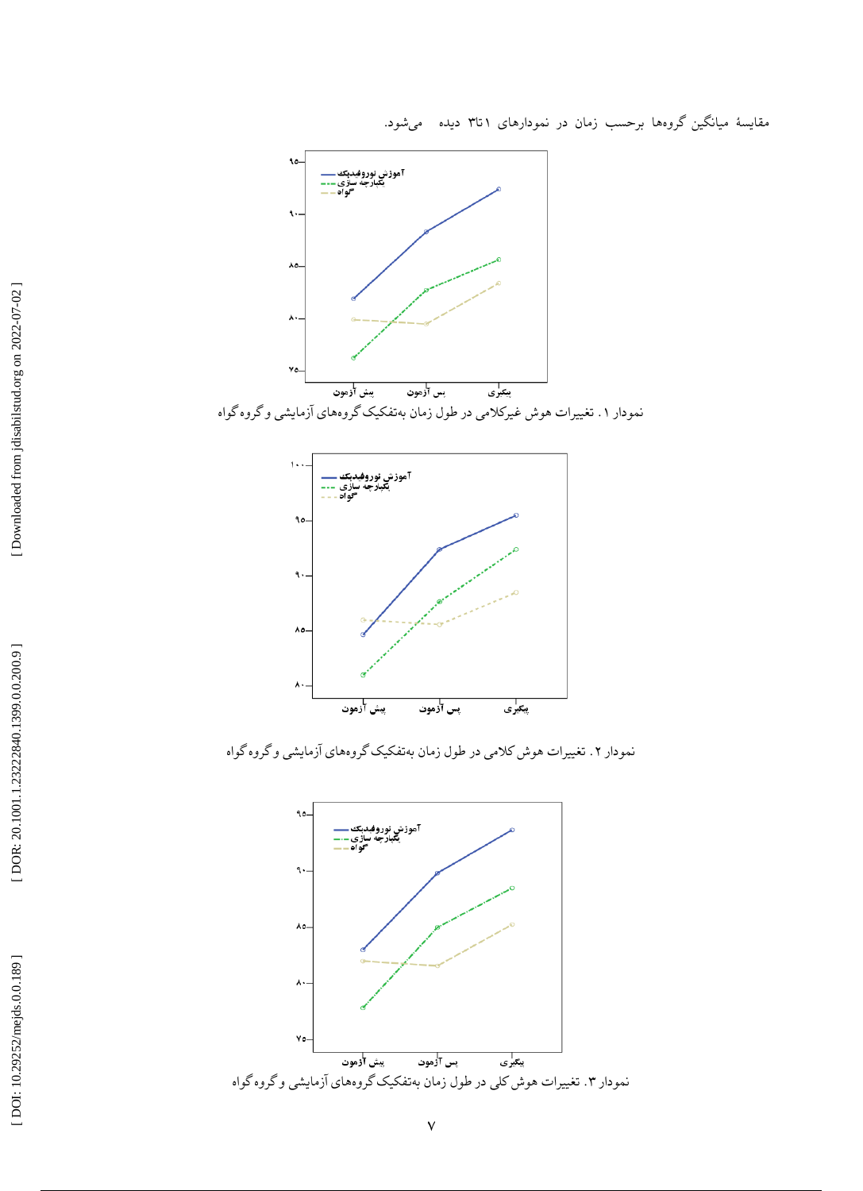



نمودار ۲. تغییرات هوش کلامی در طول زمان بهتفکیک گروههای ازمایشی و گروه گواه

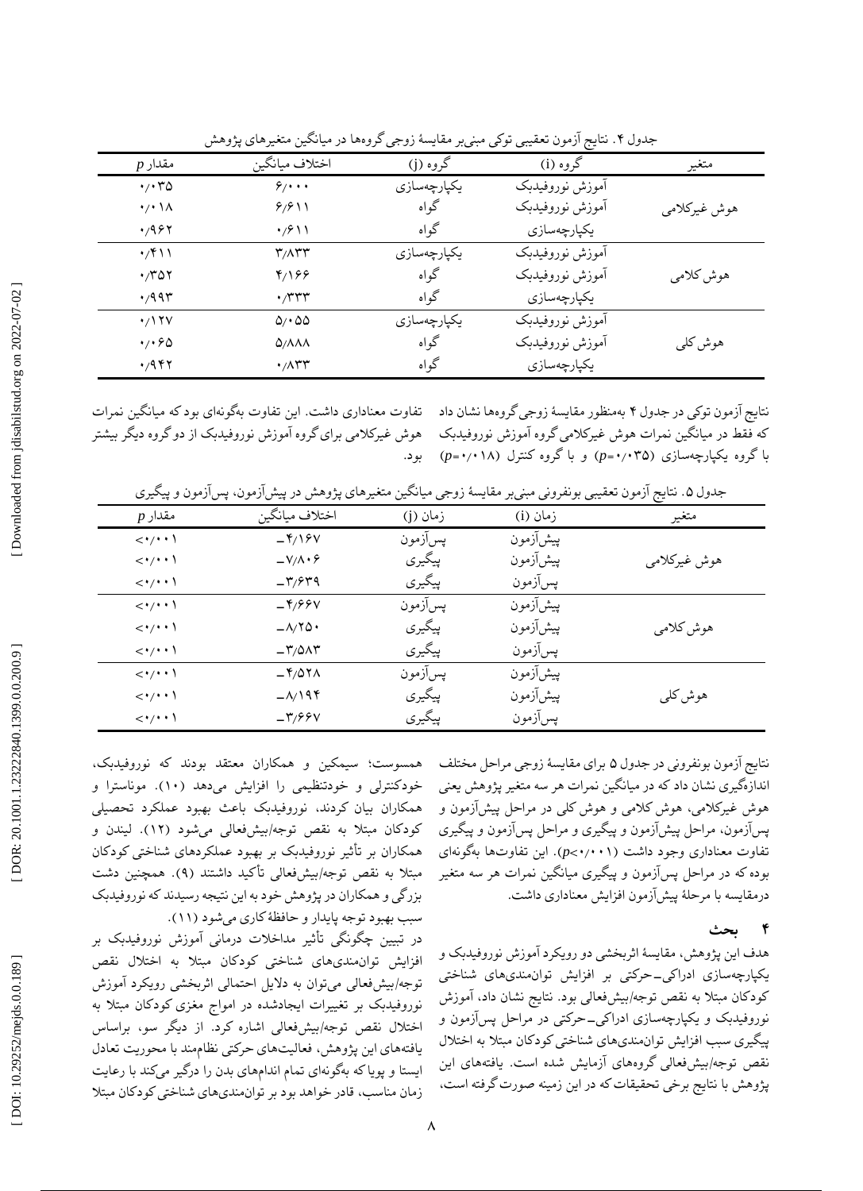| $p$ مقدار                            | اختلاف ميانگين                           | گروه (j)    | گروه (i)        | متغير        |
|--------------------------------------|------------------------------------------|-------------|-----------------|--------------|
| $\cdot$ / $\cdot$ $\uparrow$ $\circ$ | 9/4                                      | يكپارچەسازى | آموزش نوروفيدبك |              |
| $\cdot$ / $\cdot$ \ $\wedge$         | 9/911                                    | گواه        | آموزش نوروفيدبك | هوش غيركلامي |
| 4/987                                | $\cdot$ /۶۱۱                             | گواه        | يكپارچەسازى     |              |
| $\cdot$ /۴۱۱                         | ۳/۸۳۳                                    | يكپارچەسازى | آموزش نوروفيدبك |              |
| $\cdot$ ror                          | 8/199                                    | گواه        | آموزش نوروفيدبك | هوش كلامي    |
| $\cdot$ /99۳                         | $\cdot$                                  | گواه        | يكپارچەسازى     |              |
| $\cdot/17V$                          | $\Delta / 400$                           | يكپارچەسازى | آموزش نوروفيدبك |              |
| 4.60                                 | $Q/\Lambda\Lambda\Lambda$                | گواه        | آموزش نوروفيدبك | هوش کلی      |
| $\cdot$ /947                         | $\cdot$ / $\wedge$ $\uparrow$ $\uparrow$ | گواه        | يكپارچەسازى     |              |

. نتایج آزمون تعقیبی توکی مبنیبر مقایسٔه زوجی گروهها در میانگین متغیرهای پژوهش جدول ۴

نتایج ازمون توکی در جدول ۴ بهمنظور مقایسهٔ زوجی گروهها نشان داد – تفاوت معناداری داشت. این تفاوت بهگونهای بود که میانگین نمرات هوش غیرکلامی برای گروه آموزش نوروفیدبک از دو گروه دیگر بیشتر<br>بود.

که فقط در میانگین نمرات هوش غیرکالمی گروه آموزش نوروفیدبک با گروه یکپارچهسازی (p=**۰**/۰۳۵) و با گروه کنترل (۰۱۸–(p=۰/۰

| $p$ مقدار                             | اختلاف ميانگين             | زمان (j) | زمان (i) | متغير        |
|---------------------------------------|----------------------------|----------|----------|--------------|
| $\langle \cdot / \cdot \cdot \rangle$ | $-\frac{\gamma}{2}$        | پسآزمون  | پیشآزمون |              |
| $\langle \cdot/\cdot \cdot \rangle$   | $-V/\Lambda \cdot \hat{z}$ | پیگیری   | پیشآزمون | ہوش غیرکلامی |
| $\langle \cdot/\cdot \cdot \rangle$   | $-\mathsf{r}/\mathsf{r}$   | پيگيري   | پسآزمون  |              |
| $\langle \cdot / \cdot \cdot \rangle$ | $-\frac{96}{9}$            | پسآزمون  | پيشآزمون |              |
| $\langle \cdot/\cdot \cdot \rangle$   | $-\lambda/\Upsilon\Delta$  | پيگيري   | پیشآزمون | هوش كلامي    |
| $\langle \cdot/\cdot \cdot \rangle$   | $-\mathsf{r}/\mathsf{QAT}$ | پيگيري   | پسآزمون  |              |
| $\langle \cdot / \cdot \cdot \rangle$ | $-\frac{9}{2}$             | پسآزمون  | پيشآزمون |              |
| $\langle \cdot / \cdot \cdot \rangle$ | $-\lambda$ 194             | پيگيري   | پيشآزمون | هوش کلی      |

پسآزمون پیگیری

نتایج ازمون بونفرونی در جدول ۵ برای مقایسهٔ زوجی مراحل مختلف اندازهگیری نشان داد که در میانگین نمرات هر سه متغیر پژوهش یعنی هوش غیرکالمی، هوش کالمی و هوش کلی در مراحل پیشآزمون و پسآزمون، مراحل پیشآزمون و پیگیری و مراحل پسآزمون و پیگیری تفاوت معناداری وجود داشت (p<**۰**/۰۰۱). این تفاوتها بهگونهای بوده که در مراحل پسآزمون و پیگیری میانگین نمرات هر سه متغیر<br>درمقایسه با مرحلهٔ پیشآزمون افزایش معناداری داشت.

> **بحث 4**

هدف این پژوهش، مقایسهٔ اثربخشی دو رویکرد اموزش نوروفیدبک و یکپارچهسازی ادراکی\_حرکتی بر افزایش توانمندیهای شناختی کودکان مبتلا به نقص توجه/بیشفعالی بود. نتایج نشان داد، اموزش نوروفیدبک و یکپارچهسازی ادراکی\_حرکتی در مراحل پس|زمون و پیگیری سبب افزایش توانمندیهای شناختی کودکان مبتال به اختالل نقص توجه/بیشفعالی گروههای آزمایش شده است. یافتههای این پژوهش با نتایج برخی تحقیقات که در این زمینه صورت گرفته است،

سیمکین و همکاران معتقد بودند که نوروفیدبک، همسوست؛ خودکنترلی و خودتنظیمی را افزایش میدهد (۱۰). موناسترا و همکاران بیان کردند، نوروفیدبک باعث بهبود عملکرد تحصیلی کودکان مبتلا به نقص توجه/بیشفعالی میشود (۱۲). لیندن و همکاران بر تاثیر نوروفیدبک بر بهبود عملکردهای شناختی کودکان مبتلا به نقص توجه/بیشفعالی تاکید داشتند (۹). همچنین دشت بزرگی و همکاران در پژوهش خود به این نتیجه رسیدند که نوروفیدبک سبب بهبود توجه پایدار و حافظهٔ کاری میشود (١١).

 $-\mathbf{r}/\mathbf{r}$ 

 $\leftarrow$ 

در تبیین چگونگی تاثیر مداخلات درمانی اموزش نوروفیدبک بر افزایش توانمندیهای شناختی کودکان مبتال به اختالل نقص بیشفعالی میتوان به دالیل احتمالی اثربخشی رویکرد آموزش توجه/ نوروفیدبک بر تغییرات ایجادشده در امواج مغزی کودکان مبتلا به اختالل نقص توجه/بیشفعالی اشاره کرد. از دیگر سو، براساس یافتههای این پژوهش، فعالیتهای حرکتی نظامهند با محوریت تعادل ایستا و پویا که بهگونهای تمام اندامهای بدن را درگیر میکند با رعایت زمان مناسب، قادر خواهد بود بر توانمندیهای شناختی کودکان مبتال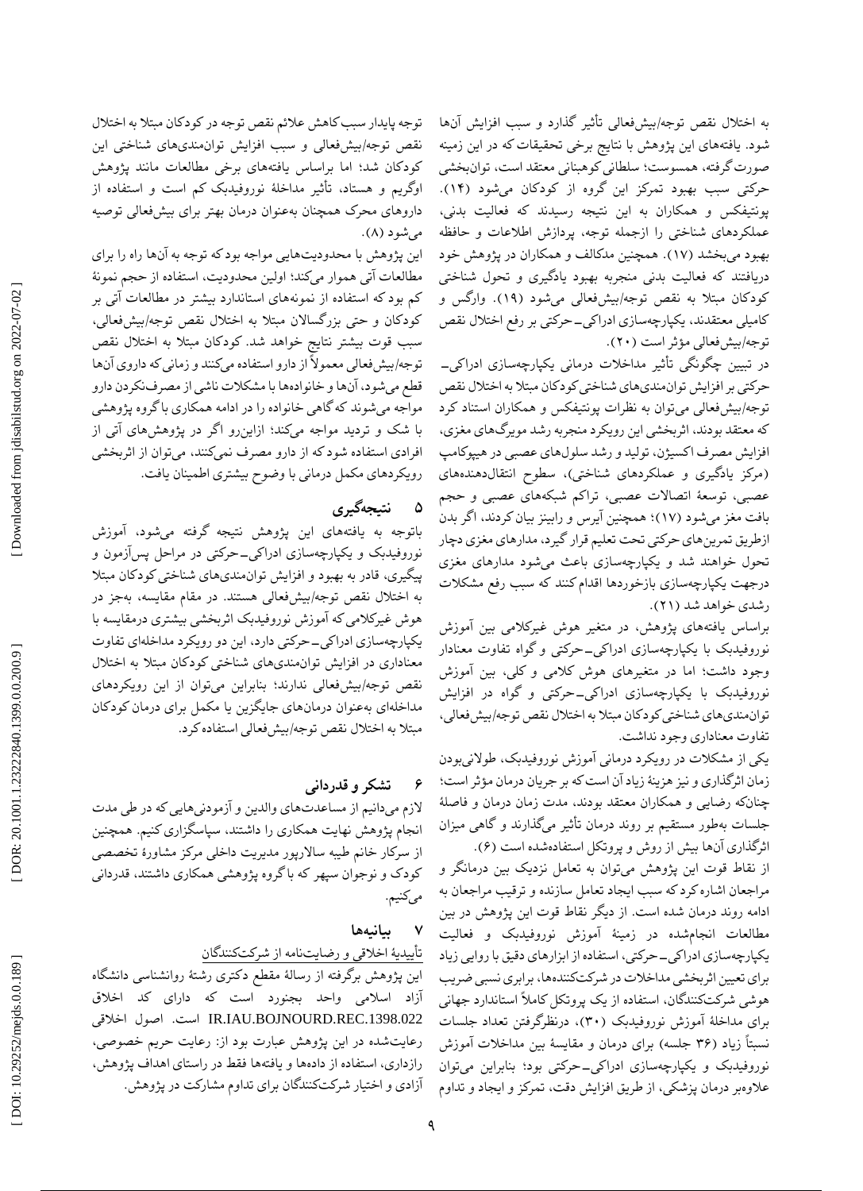DOR: 20.1001.1.23222840.1399.0.0.200.9

توجه پایدار سبب کاهش عالئم نقص توجه در کودکان مبتال به اختالل نقص توجه/بیشفعالی و سبب افزایش توانمندیهای شناختی این کودکان شد؛ اما براساس یافتههای برخی مطالعات مانند پژوهش اوگریم و هستاد، تأثیر مداخلٔه نوروفیدبک کم است و استفاده از داروهای محرک همچنان بهعنوان درمان بهتر برای بیشفعالی توصیه میشود (۸).

این پژوهش با محدودیتهایی مواجه بود که توجه به آنها راه را برای مطالعات آتی هموار میکند؛ اولین محدودیت، استفاده از حجم نمونٔه کم بود که استفاده از نمونههای استاندارد بیشتر در مطالعات آتی بر کودکان و حتی بزرگساالن مبتال به اختالل نقص توجه/بیشفعالی، سبب قوت بیشتر نتایج خواهد شد. کودکان مبتال به اختالل نقص توجه/بیشفعالی معموالً از دارو استفاده میکنند و زمانی که داروی آنها قطع میشود، آنها و خانوادهها با مشکالت ناشی از مصرفنکردن دارو مواجه میشوند که گاهی خانواده را در ادامه همکاری با گروه پژوهشی با شک و تردید مواجه میکند؛ ازاینرو اگر در پژوهشهای آتی از افرادی استفاده شود که از دارو مصرف نمیکنند، میتوان از اثربخشی رویکردهای مکمل درمانی با وضوح بیشتری اطمینان یافت.

#### **نتیجهگیری ۵**

باتوجه به یافتههای این پژوهش نتیجه گرفته میشود، آموزش نوروفیدبک و یکپارچهسازی ادراکی\_حرکتی در مراحل پس|زمون و پیگیری، قادر به بهبود و افزایش توانمندیهای شناختی کودکان مبتال به اختالل نقص توجه/بیشفعالی هستند. در مقام مقایسه، بهجز در هوش غیرکالمی که آموزش نوروفیدبک اثربخشی بیشتری درمقایسه با یکپارچهسازی ادراکی\_حرکتی دارد، این دو رویکرد مداخلهای تفاوت معناداری در افزایش توانمندیهای شناختی کودکان مبتال به اختالل نقص توجه/بیشفعالی ندارند؛ بنابراین میتوان از این رویکردهای مداخلهای بهعنوان درمانهای جایگزین یا مکمل برای درمان کودکان مبتال به اختالل نقص توجه/بیشفعالی استفاده کرد.

#### **قدردانی تشکر و 6**

الزم میدانیم از مساعدتهای والدین و آزمودنیهایی که در طی مدت انجام پژوهش نهایت همکاری را داشتند، سپاسگزاری کنیم. همچنین از سرکار خانم طیبه ساالرپور مدیریت داخلی مرکز مشاورٔه تخصصی کودک و نوجوان سپهر که باگروه پژوهشی همکاری داشتند، قدردانی میکنیم.

#### **بیانیهها 7**

# ییدیٔه اخالقی و رضایتنامه از شرکتکنندگان تأ

این پژوهش برگرفته از رسالٔه مقطع دکتری رشتٔه روانشناسی دانشگاه آزاد اسالمی واحد بجنورد است که دارای کد اخالق IR.IAU.BOJNOURD.REC.1398.022 است. اصول اخلاقی رعایتشده در این پژوهش عبارت بود از: رعایت حریم خصوصی، رازداری، استفاده از دادهها و یافتهها فقط در راستای اهداف پژوهش، آزادی و اختیار شرکتکنندگان برای تداوم مشارکت در پژوهش. به اختلال نقص توجه/بیشفعالی تاثیر گذارد و سبب افزایش انها شود. یافتههای این پژوهش با نتایج برخی تحقیقات که در این زمینه صورت گرفته، همسوست؛ سلطانی کوهبنانی معتقد است، توانبخشی . حرکتی سبب بهبود تمرکز این گروه از کودکان میشود )1۴( پونتیفکس و همکاران به این نتیجه رسیدند که فعالیت بدنی، عملکردهای شناختی را ازجمله توجه، پردازش اطالعات و حافظه بهبود میبخشد (۱۷). همچنین مدکالف و همکاران در پژوهش خود دریافتند که فعالیت بدنی منجربه بهبود یادگیری و تحول شناختی کودکان مبتلا به نقص توجه/بیشفعالی میشود (۱۹). وارگس و کامیلی معتقدند، یکپارچهسازی ادراکی\_حرکتی بر رفع اختلال نقص توجه/بیشفعالی مؤثر است (۲۰).

در تبیین چگونگی تاثیر مداخلات درمانی یکپارچهسازی ادراکی\_ حرکتی بر افزایش توانمندیهای شناختی کودکان مبتال به اختالل نقص توجه/بیشفعالی میتوان به نظرات پونتیفکس و همکاران استناد کرد که معتقد بودند، اثربخشی این رویکرد منجربه رشد مویرگهای مغزی، افزایش مصرف اکسیژن، تولید و رشد سلولهای عصبی در هیپوکامپ )مرکز یادگیری و عملکردهای شناختی(، سطوح انتقالدهندههای عصبی، توسعٔه اتصاالت عصبی، تراکم شبکههای عصبی و حجم بافت مغز میشود (۱۷)؛ همچنین ایرس و رابینز بیان کردند، اگر بدن ازطریق تمرینهای حرکتی تحت تعلیم قرار گیرد، مدارهای مغزی دچار تحول خواهند شد و یکپارچهسازی باعث میشود مدارهای مغزی درجهت یکپارچهسازی بازخوردها اقدام کنند که سبب رفع مشکالت رشدی خواهد شد (۲۱).

براساس یافتههای پژوهش، در متغیر هوش غیرکالمی بین آموزش نوروفیدبک با یکپارچهسازی ادراکی\_حرکتی و گواه تفاوت معنادار وجود داشت؛ اما در متغیرهای هوش کالمی و کلی، بین آموزش نوروفیدبک با یکپارچهسازی ادراکی\_حرکتی و گواه در افزایش توانمندیهای شناختی کودکان مبتال به اختالل نقص توجه/بیشفعالی، تفاوت معناداری وجود نداشت.

یکی از مشکلات در رویکرد درمانی آموزش نوروفیدبک، طولانیبودن<br>زمان اثرگذاری و نیز هزینهٔ زیاد آن است که بر جریان درمان مؤثر است؛ چنانکه رضایی و همکاران معتقد بودند، مدت زمان درمان و فاصلهٔ جلسات بهطور مستقیم بر روند درمان تاثیر میگذارند و گاهی میزان اثرگذاری آنها بیش از روش و پروتکل استفادهشده است (۶).

از نقاط قوت این پژوهش میتوان به تعامل نزدیک بین درمانگر و مراجعان اشاره کرد که سبب ایجاد تعامل سازنده و ترقیب مراجعان به ادامه روند درمان شده است. از دیگر نقاط قوت این پژوهش در بین مطالعات انجامشده در زمینٔه آموزش نوروفیدبک و فعالیت یکپارچهسازی ادراکی\_حرکتی، استفاده از ابزارهای دقیق با روایی زیاد برای تعیین اثربخشی مداخالت در شرکتکنندهها، برابری نسبی ضریب هوشی شرکتکنندگان، استفاده از یک پروتکل کامالً استاندارد جهانی برای مداخلهٔ اموزش نوروفیدبک (۳۰)، درنظرگرفتن تعداد جلسات نسبتاً زیاد (۳۶ جلسه) برای درمان و مقایسهٔ بین مداخلات اموزش نوروفیدبک و یکپارچهسازی ادراک<sub>ی</sub>\_حرکتی بود؛ بنابراین میتوان عالوهبر درمان پزشکی، از طریق افزایش دقت، تمرکز و ایجاد و تداوم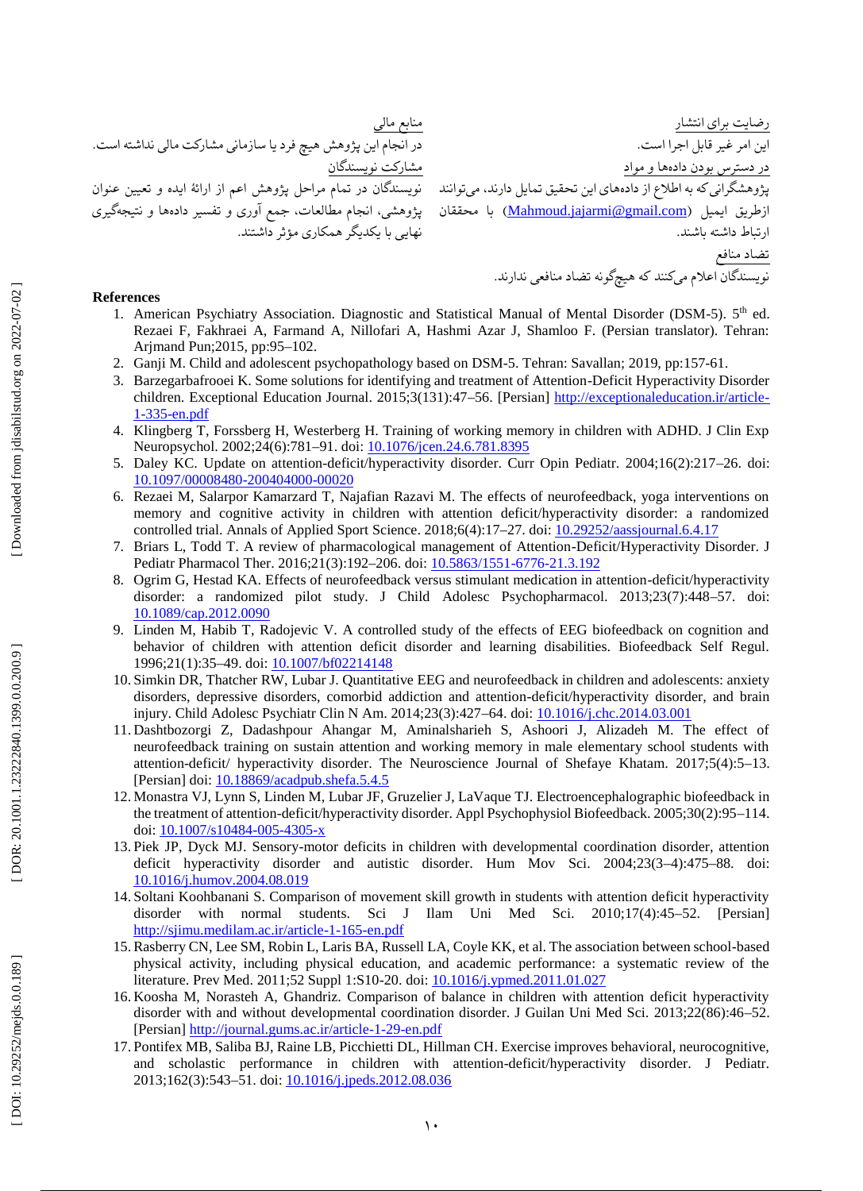منابع مالی در انجام این پژوهش هیچ فرد یا سازمانی مشارکت مالی نداشته است. مشارکت نویسندگان نویسندگان در تمام مراحل پژوهش اعم از ارائٔه ایده و تعیین عنوان پژوهشی، انجام مطالعات، جمع آوری و تفسیر دادهها و نتیجهگیری نهایی با یکدیگر همکاری مؤثر داشتند.

رضایت برای انتشار این امر غیر قابل اجرا است. در دسترس بودن دادهها و مواد پژوهشگرانی که به اطلاع از دادههای این تحقیق تمایل دارند، میتوانند ازطریق ایمیل (<u>[Mahmoud.jajarmi@gmail.com](file:///C:/Users/Lenovo/Desktop/رساله.مقاله/مجله%20ماتوانی.ابان400/Mahmoud.jajarmi@gmail.com))</u> با محققان ارتباط داشته باشند. تضاد منافع نویسندگان اعالم میکنند که هیچگونه تضاد منافعی ندارند.

# **References**

- 1. American Psychiatry Association. Diagnostic and Statistical Manual of Mental Disorder (DSM-5). 5<sup>th</sup> ed. Rezaei F, Fakhraei A, Farmand A, Nillofari A, Hashmi Azar J, Shamloo F. (Persian translator). Tehran: Arjmand Pun;2015, pp:95 –102.
- 2 . Ganji M. Child and adolescent psychopathology based on DSM-5. Tehran: Savallan; 2019, pp:157-61.
- 3. . Barzegarbafrooei K. Some solutions for identifying and treatment of Attention -Deficit Hyperactivity Disorder children. Exceptional Education Journal. 2015;3(131):47–56. [Persian] [http://exceptionaleducation.ir/article](http://exceptionaleducation.ir/article-1-335-en.pdf)-1 -335 [-en.pdf](http://exceptionaleducation.ir/article-1-335-en.pdf)
- 4 . Klingberg T, Forssberg H, Westerberg H. Training of working memory in children with ADHD. J Clin Exp Neuropsychol. 2002;24(6):781–91. doi: <u>10.1076/jcen.24.6.781.8395</u>
- 5 . Daley KC. Update on attention -deficit/hyperactivity disorder. Curr Opin Pediatr. 2004;16(2):217 –26. doi: [10.1097/00008480](https://doi.org/10.1097/00008480-200404000-00020) -20040400 0 -00020
- 6 . Rezaei M, Salarpor Kamarzard T, Najafian Razavi M. The effects of neurofeedback, yoga interventions on memory and cognitive activity in children with attention deficit/hyperactivity disorder: a randomized controlled trial. Annals of Applied Sport Science. 2018;6(4):17-27. doi[: 10.29252/aassjournal.6.4.17](http://dx.doi.org/10.29252/aassjournal.6.4.17)
- 7 . Briars L, Todd T. A review of pharmacological management of Attention -Deficit/Hyperactivity Disorder. J Pediatr Pharmacol Ther. 2016;21(3):192–206. doi[: 10.5863/1551](https://doi.org/10.5863/1551-6776-21.3.192)-6776-21.3.192
- 8 . Ogrim G, Hestad KA. Effects of neurofeedback versus stimulant medication in attention -deficit/hyperactivity disorder: a randomized pilot study. J Child Adolesc Psychopharmacol. 2013;23(7):448 –57. doi: [10.1089/cap.2012.0090](https://doi.org/10.1089/cap.2012.0090)
- 9 . Linden M, Habib T, Radojevic V. A controlled study of the effects of EEG biofeedback on cognition and behavior of children with attention deficit disorder and learning disabilities. Biofeedback Self Regul. 1996;21(1):35-49. doi[: 10.1007/bf02214148](https://doi.org/10.1007/bf02214148)
- 10 . Simkin DR, Thatcher RW, Lubar J. Quantitative EEG and neurofeedback in children and adolescents: anxiety disorders, depressive disorders, comorbid addiction and attention -deficit/hyperactivity disorder, and brain injury. Child Adolesc Psychiatr Clin N Am. 2014;23(3):427 –64. doi[: 10.1016/j.chc.2014.03.001](https://doi.org/10.1016/j.chc.2014.03.001)
- 11 . Dashtbozorgi Z, Dadashpour Ahangar M, Aminalsharieh S, Ashoori J, Alizadeh M. The effect of neurofeedback training on sustain attention and working memory in male elementary school students with attention -deficit/ hyperactivity disorder. The Neuroscience Journal of Shefaye Khatam. 2017;5(4):5 –13. [Persian] doi: [10.18869/acadpub.shefa.5.4.5](http://dx.doi.org/10.18869/acadpub.shefa.5.4.5)
- 12 . Monastra VJ, Lynn S, Linden M, Lubar JF, Gruzelier J, LaVaque TJ. Electroencephalographic biofeedback in the treatment of attention-deficit/hyperactivity disorder. Appl Psychophysiol Biofeedback. 2005;30(2):95–114. doi: <u>10.1007/s10484-005-4305-x</u>
- 13 . Piek JP, Dyck MJ. Sensory -motor deficits in children with developmental coordination disorder, attention deficit hyperactivity disorder and autistic disorder. Hum Mov Sci. 2004;23(3 –4):475 –88. doi: [10.1016/j.humov.2004.08.019](https://doi.org/10.1016/j.humov.2004.08.019)
- 14 . Soltani Koohbanani S. Comparison of movement skill growth in students with attention deficit hyperactivity disorder with normal students. Sci J Ilam Uni Med Sci. 2010;17(4):45 –52. [Persian] [http://sjimu.medilam.ac.ir/article](http://sjimu.medilam.ac.ir/article-1-165-en.pdf)-1-165-en.pdf
- 15 .Rasberry CN, Lee SM, Robin L, Laris BA, Russell LA, Coyle KK, et al. The association between school -based physical activity, including physical education, and academic performance: a systematic review of the literature. Prev Med. 2011;52 Suppl 1:S10-20. doi: [10.1016/j.ypmed.2011.01.027](https://doi.org/10.1016/j.ypmed.2011.01.027)
- 16 . Koosha M, Norasteh A, Ghandriz. Comparison of balance in children with attention deficit hyperactivity disorder with and without developmental coordination disorder. J Guilan Uni Med Sci. 2013;22(86):46 –52. [Persian] [http://journal.gums.ac.ir/article](http://journal.gums.ac.ir/article-1-29-en.pdf)-1-29-en.pdf
- 17 . Pontifex MB, Saliba BJ, Raine LB, Picchietti DL, Hillman CH. Exercise improves behavioral, neurocognitive, and scholastic performance in children with attention -deficit/hyperactivity disorder. J Pediatr. 2013;162(3):543–51. doi[: 10.1016/j.jpeds.2012.08.036](https://doi.org/10.1016/j.jpeds.2012.08.036)